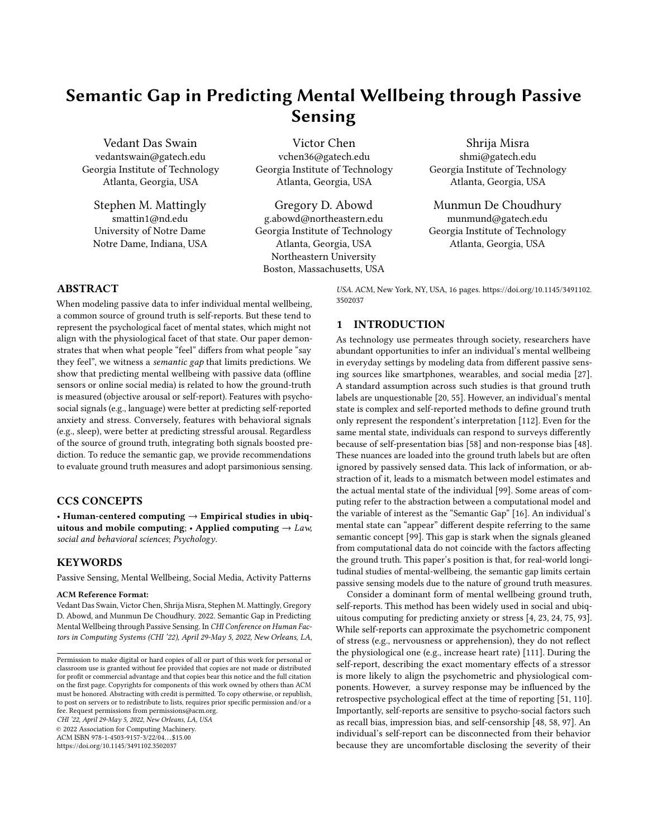# Semantic Gap in Predicting Mental Wellbeing through Passive Sensing

Vedant Das Swain vedantswain@gatech.edu Georgia Institute of Technology Atlanta, Georgia, USA

Stephen M. Mattingly smattin1@nd.edu University of Notre Dame Notre Dame, Indiana, USA

Victor Chen vchen36@gatech.edu Georgia Institute of Technology Atlanta, Georgia, USA

Gregory D. Abowd g.abowd@northeastern.edu Georgia Institute of Technology Atlanta, Georgia, USA Northeastern University Boston, Massachusetts, USA

Shrija Misra shmi@gatech.edu Georgia Institute of Technology Atlanta, Georgia, USA

Munmun De Choudhury

munmund@gatech.edu Georgia Institute of Technology Atlanta, Georgia, USA

# ABSTRACT

When modeling passive data to infer individual mental wellbeing, a common source of ground truth is self-reports. But these tend to represent the psychological facet of mental states, which might not align with the physiological facet of that state. Our paper demonstrates that when what people "feel" differs from what people "say they feel", we witness a semantic gap that limits predictions. We show that predicting mental wellbeing with passive data (offline sensors or online social media) is related to how the ground-truth is measured (objective arousal or self-report). Features with psychosocial signals (e.g., language) were better at predicting self-reported anxiety and stress. Conversely, features with behavioral signals (e.g., sleep), were better at predicting stressful arousal. Regardless of the source of ground truth, integrating both signals boosted prediction. To reduce the semantic gap, we provide recommendations to evaluate ground truth measures and adopt parsimonious sensing.

## CCS CONCEPTS

• Human-centered computing  $\rightarrow$  Empirical studies in ubiquitous and mobile computing;  $\cdot$  Applied computing  $\rightarrow$  Law, social and behavioral sciences; Psychology.

## **KEYWORDS**

Passive Sensing, Mental Wellbeing, Social Media, Activity Patterns

#### ACM Reference Format:

Vedant Das Swain, Victor Chen, Shrija Misra, Stephen M. Mattingly, Gregory D. Abowd, and Munmun De Choudhury. 2022. Semantic Gap in Predicting Mental Wellbeing through Passive Sensing. In CHI Conference on Human Factors in Computing Systems (CHI '22), April 29-May 5, 2022, New Orleans, LA,

CHI '22, April 29-May 5, 2022, New Orleans, LA, USA

© 2022 Association for Computing Machinery. ACM ISBN 978-1-4503-9157-3/22/04. . . \$15.00

<https://doi.org/10.1145/3491102.3502037>

USA. ACM, New York, NY, USA, [16](#page-15-0) pages. [https://doi.org/10.1145/3491102.](https://doi.org/10.1145/3491102.3502037) [3502037](https://doi.org/10.1145/3491102.3502037)

## 1 INTRODUCTION

As technology use permeates through society, researchers have abundant opportunities to infer an individual's mental wellbeing in everyday settings by modeling data from different passive sensing sources like smartphones, wearables, and social media [\[27\]](#page-13-0). A standard assumption across such studies is that ground truth labels are unquestionable [\[20,](#page-13-1) [55\]](#page-14-0). However, an individual's mental state is complex and self-reported methods to define ground truth only represent the respondent's interpretation [\[112\]](#page-15-1). Even for the same mental state, individuals can respond to surveys differently because of self-presentation bias [\[58\]](#page-14-1) and non-response bias [\[48\]](#page-14-2). These nuances are loaded into the ground truth labels but are often ignored by passively sensed data. This lack of information, or abstraction of it, leads to a mismatch between model estimates and the actual mental state of the individual [\[99\]](#page-15-2). Some areas of computing refer to the abstraction between a computational model and the variable of interest as the "Semantic Gap" [\[16\]](#page-13-2). An individual's mental state can "appear" different despite referring to the same semantic concept [\[99\]](#page-15-2). This gap is stark when the signals gleaned from computational data do not coincide with the factors affecting the ground truth. This paper's position is that, for real-world longitudinal studies of mental-wellbeing, the semantic gap limits certain passive sensing models due to the nature of ground truth measures.

Consider a dominant form of mental wellbeing ground truth, self-reports. This method has been widely used in social and ubiquitous computing for predicting anxiety or stress [\[4,](#page-13-3) [23,](#page-13-4) [24,](#page-13-5) [75,](#page-14-3) [93\]](#page-15-3). While self-reports can approximate the psychometric component of stress (e.g., nervousness or apprehension), they do not reflect the physiological one (e.g., increase heart rate) [\[111\]](#page-15-4). During the self-report, describing the exact momentary effects of a stressor is more likely to align the psychometric and physiological components. However, a survey response may be influenced by the retrospective psychological effect at the time of reporting [\[51,](#page-14-4) [110\]](#page-15-5). Importantly, self-reports are sensitive to psycho-social factors such as recall bias, impression bias, and self-censorship [\[48,](#page-14-2) [58,](#page-14-1) [97\]](#page-15-6). An individual's self-report can be disconnected from their behavior because they are uncomfortable disclosing the severity of their

Permission to make digital or hard copies of all or part of this work for personal or classroom use is granted without fee provided that copies are not made or distributed for profit or commercial advantage and that copies bear this notice and the full citation on the first page. Copyrights for components of this work owned by others than ACM must be honored. Abstracting with credit is permitted. To copy otherwise, or republish, to post on servers or to redistribute to lists, requires prior specific permission and/or a fee. Request permissions from permissions@acm.org.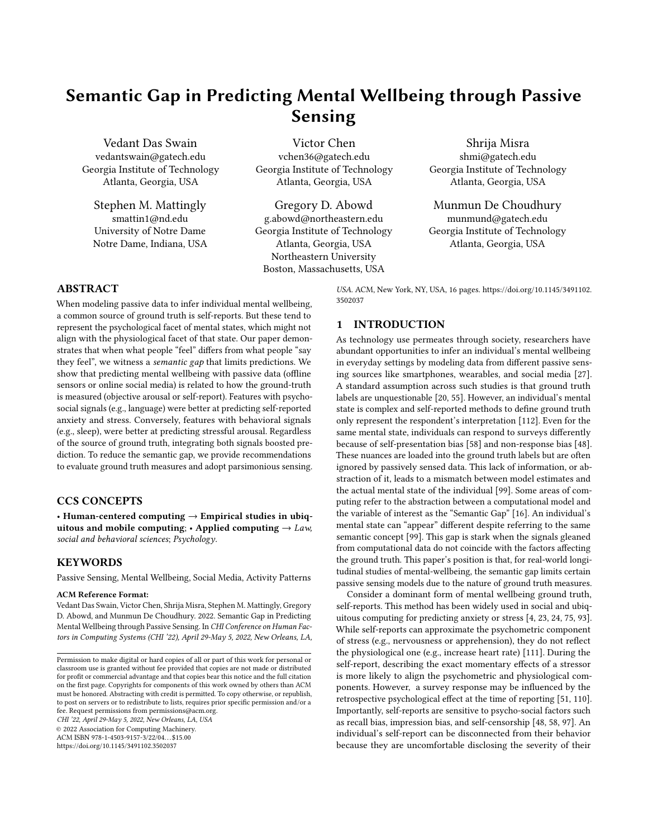state [\[48,](#page-14-2) [112\]](#page-15-1). These psychosocial influences on self-reports are invisible to typical approaches of passive sensing, which focus on individual physical behaviors, such as activity duration, mobility, and device usage. Despite the same bodily response to watching an intense horror movie compared to being reprimanded by a supervisor; a survey response could report different stress severity for each experience. On the other hand, physiological measures of ground truth might indicate the same severity, but ignore the negativity associated with the experience. Therefore, predictive models trained on an individual's activity data can be limited simply because of a mismatch between the choice of feature representations and the type of ground truth measurement. We believe this represents a semantic gap. We aim to empirically demonstrate that this gap exists in our domain and prescribe approaches to mitigate it.

Other computing areas plagued by the semantic gap teach us that this gap is narrower when the low-level representations (e.g., passively sensed features) and high-level representations (e.g., ground truth values) for the same concept are semantically analogous [\[99\]](#page-15-2). This fundamental informs our inquiry. For example, posts on online social media can encapsulate the same psycho-social influences that interfere with self-reports, in terms of self-disclosure [\[37\]](#page-13-6) and censorship [\[25\]](#page-13-7). By contrast, physical behaviors from offline sensing are semantically closer to physiological aspects, such as arousal [\[76,](#page-14-5) [83,](#page-14-6) [86\]](#page-14-7). Yet, it is challenging to observe the semantic gap in practical deployments because most efforts to predict mental wellbeing, focus on limited sensor streams and a limited set of corresponding ground truth measures. To mitigate this, we investigate the gap by leveraging a unique dataset that includes a variety of ground truth measures for mental wellbeing states and a variety of passively sensed data.

We employ the triangulation method [\[36\]](#page-13-8) to investigate if this gap actually exists by demonstrating the predictive efficacy of different passive sensing approaches on different measures of ground truth for mental wellbeing. One relies on the offline physical activities sensed from smartphones, wearables, and Bluetooth. The other relies on the online language extracted from posts on social media. With these we build models to predict two different interpretations of an individual's mental state — the first is self-reports of state anxiety and stress, and the second is a measure of physiological arousal through a wrist-worn sensor. Our paper addresses two questions:

- RQ1. Compared to behavioral signals, do social signals have a smaller semantic gap with psychological interpretations of wellbeing?
- RQ2. Compared to social signals, do behavioral signals have a smaller semantic gap with physiological interpretations of wellbeing?

Primarily, this paper presents a case that characterizes the semantic gap in passive sensing for predictive wellbeing and demonstrates an approach to reduce it. By highlighting this semantic gap, our aim is neither to identify the most credible instrument of ground truth nor is it to deplore particular sensor streams. Instead, we intend to clarify why passive sensing models of mental wellbeing appear to work or fail. Acknowledging the semantic gap in our domain leads to several key implications. Overall, we provide empirical evidence to support how different passive sensing modalities are naturally coupled to different interpretations of ground truth. Next,

we encourage researchers to consciously understand the nature of ground truth labels and what factors influence that measure. And finally, in cases of limited sensing affordances for field study deployments, our findings motivate a more theoretical approach to sensor and modality selection for efficacious predictive studies.

## 2 BACKGROUND & RELATED WORK

As a background for the research presented in this paper, we note that the existing literature demonstrates multiple examples of inferring mental states with personal devices that capture behavior, such as smartphones and wearables [\[23,](#page-13-4) [75,](#page-14-3) [93\]](#page-15-3), as well as with language used by people online [\[4,](#page-13-3) [24\]](#page-13-5). However, many such studies rely on self-reports that do not adequately represent the multidimensional nature of mental-wellbeing constructs [\[111\]](#page-15-4). This abstraction between the ground truth and the actual mental state can render a semantic gap, which limits the performance of passive sensing. In the subsections below, we discuss relevant literature on semantic gap, representations of ground truth, and how social and behavior signals have been used for measurement of mental wellbeing. We use this background to propose our hypotheses.

#### 2.1 Semantic Gap in Computing Problems

A "semantic gap" refers to the loss of information when machines try to formalize a concept that humans could interpret naturally [\[16,](#page-13-2) [50,](#page-14-8) [99\]](#page-15-2). This idea stems from classical frameworks of natural language processing, human cognition, and the challenge of translating real-world expressions, personal experiences, and cultural context into specific computational models [\[16\]](#page-13-2). The most notable explorations of semantic gap are in the image-retrieval and computer vision communities [\[50,](#page-14-8) [99\]](#page-15-2). Consider a model that infers the mood of an individual by analyzing the image of their face. When the faces are present in defined angles and backgrounds (e.g., front-facing, white background, fixed lighting), the model can interpret the scene in terms of certain formal parameters [\[99\]](#page-15-2). In contrast, when the same expression is captured in an image of a natural context (e.g., weather, crowds) the model takes a broader, more subjective, and error-prone interpretation [\[99\]](#page-15-2). In cases like the latter, the semantic gap is particularly stark. It requires a computer to interpret an object in the real world based on human labeled ground truth. Yet, human labels can provide rich high-level explanations of a situation that computers struggle to glean from low-level parametrized data [\[50\]](#page-14-8). Human interpretation of scenes often considers ecological factors, novel variations, and simply common sense. However, a computer refers to the same semantic construct with feature vectors (e.g., regions, frequency, and segments) and tries to relate these operators [\[50\]](#page-14-8). In this paper we broaden the definition of semantic gap provided by [Smeulders et al.](#page-15-2) and adapt it:

> Semantic Gap. The lack of coincidence between the information that one can extract from the data and the interpretation that the same data have for a user in a given situation.

Research in passive sensing also attempts to infer mental state based on data-driven features [\[10,](#page-13-9) [17,](#page-13-10) [19,](#page-13-11) [30,](#page-13-12) [36,](#page-13-8) [42,](#page-13-13) [65,](#page-14-9) [71,](#page-14-10) [74,](#page-14-11) [88,](#page-14-12) [91\]](#page-15-7). Oftentimes, these investigations take place in natural settings [\[18\]](#page-13-14), where researchers use self-reports for ground truth. However, in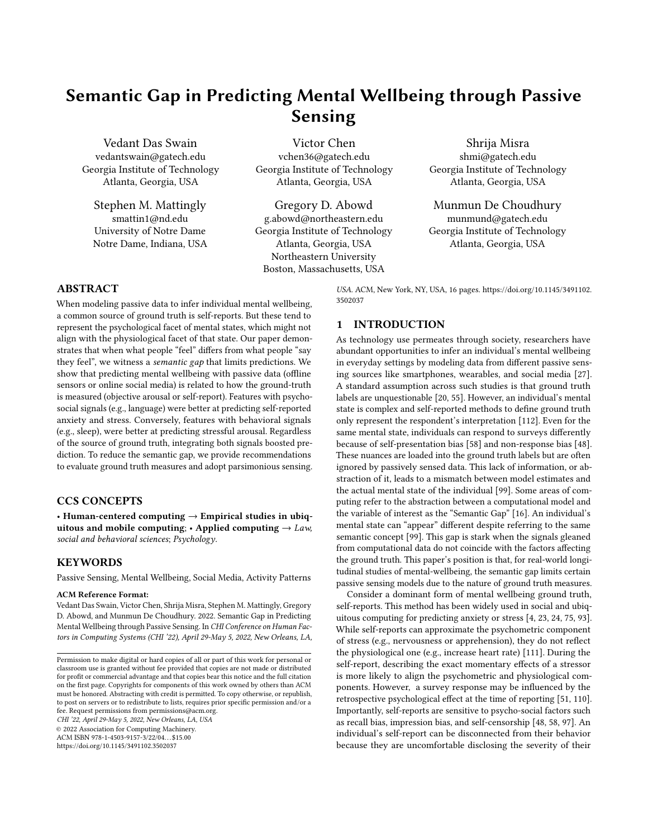situ self-reports are high-level human evaluations and are, therefore, sensitive to multiple social effects that are invisible to passive sensors [\[20\]](#page-13-1). This drives us to study if the semantic gap exists for passively sensing mental states. We believe describing individual mental wellbeing with passive sensing is analogous to using computer vision to describe a visual scene. While computational models are expected to explain the target construct, they are insufficient in explaining the high-level semantics [\[50\]](#page-14-8). This paper is motivated to investigate the loss of information between high-level interpretations of mental wellbeing — such as self-reports and the low-level computational interpretations of behavior — such as inferences from passive sensing.

# <span id="page-2-0"></span>2.2 Representations of Ground Truth for Mental Wellbeing

Since mental wellbeing is a complex concept, human interpretations of it tend to be high-level representations. Even when collected in situ [\[20\]](#page-13-1), the label that is collected is only an evaluative judgment of the participant's mental state [\[112\]](#page-15-1), which tends to describe the psychological aspect of it. [Weiss](#page-15-1) describes, "true affective states, moods, and emotions have causes and consequences distinguishable from the causes and consequences of evaluative judgments" [\[112,](#page-15-1) p. 176]. By contrast, mental states also have physiological artifacts, which might not be reflected in self-reports [\[112\]](#page-15-1).

In social and ubiquitous computing, field studies to infer mental wellbeing rely on self-reports [\[55\]](#page-14-0) as ground truth. These reports are sensitive to factors that influence reporting and self-perception. For instance, [Chan et al.](#page-13-1) qualitatively studied participant experiences with ecological momentary assessment (EMA) tools for wellbeing and found external factors (e.g., commuting, social situations) to influence the quality of self-reports [\[20\]](#page-13-1). Even traditional survey literature states that factors like social desirability can impact participant responses [\[58\]](#page-14-1). This can lead to participants over-reporting certain types of experiences and under-reporting others. In some cases, social norms are stronger indicators of participant reports than personal attitudes [\[54\]](#page-14-13). Moreover, perceptions of wellbeing are often blurred by the subjectivity of memory. For example, participants often overestimate their sleep time in comparison to observed measurements [\[97\]](#page-15-6). Some self-reports describe exceptional events, some describe every episode, while some summarize multiple incidents [\[113\]](#page-15-8). These factors create a misalignment between what participants report, even though participant activities convey the same mental state.

Now, let us consider the fact that wellbeing has physiological aspects [\[112\]](#page-15-1), which are not explicitly captured by self-reports. Compare a case where a participant is running on a treadmill and another where they are chased by a bear. Despite both cases having many similar physiological effects, such as elevated heart rate, a self-reported evaluation of stress is likely to be lower in the treadmill scenario. According to [Russell'](#page-14-14)s Circumplex Model of Affect, mental states such as stress can be described on the basis of arousal (or alertness) and valence (or pleasure) [\[85\]](#page-14-14). However, self-reports are known to be imprecise in describing the arousal aspect [\[51\]](#page-14-4) as it is momentary and very sensitive to the stress event [\[110\]](#page-15-5). In an experimental study of public speaking, [Hellhammer and Schubert](#page-14-4)

found that self-reports of stress were only correlated with the physiological state during the stressful event but not before or after it. A related study found that similar stressors affect the heart rate of participants similarly, but their self-report of stress is highly correlated to higher trait anxiety [\[110\]](#page-15-5). In fact, prior work has encouraged incorporating physiological changes in an individual as a different type of gold standard for ground truth [\[52\]](#page-14-15).

This does not imply that only one representation of wellbeing is "true", nor does it imply that these representations are mutually exclusive. What these works indicate is that the state of a participant's wellbeing can be interpreted differently based on how it is measured. And these different abstractions can lead to a loss of information in computational models because each representation is affected by different kinds of signals. Given these distinctions, our study investigates the related mental wellbeing constructs of anxiety and stress. These constructs are selected because they have different abstractions [\[111\]](#page-15-4), one that is psychometric and the other that is physiological. Moreover, different instruments can measure these different abstractions, i.e., self-reports are skewed towards psychological interpretations while arousal measurements are skewed towards the physiological interpretations. As a result, the first question of the paper (RQ1) is focused on self-report assessments while the second relates to the arousal measurements (RQ2).

# <span id="page-2-1"></span>2.3 Social Signals and Self-Reported Wellbeing

Participant self-reports are sensitive to many factors [\[20,](#page-13-1) [54,](#page-14-13) [58,](#page-14-1) [97\]](#page-15-6), which might not actually affect the participant's mental state, but only their interpretation or their report [\[112\]](#page-15-1). A majority of physical sensing work models behaviors on self-reported measures [\[10,](#page-13-9) [17,](#page-13-10) [19,](#page-13-11) [42,](#page-13-13) [71,](#page-14-10) [104\]](#page-15-9). However, prior work recognizes that models need to consider features that capture the variability in the representation of the target construct [\[118\]](#page-15-10). In mental wellbeing self-reports, this variability (e.g., self-presentation, social norms, and memory specificity) is not captured by physical behaviors, and, therefore, strips such modeling approaches of their true efficacy. By contrast, studies harnessing posts on social media to predict individual wellbeing [\[30,](#page-13-12) [36,](#page-13-8) [65,](#page-14-9) [88,](#page-14-12) [91\]](#page-15-7) have used features that are semantically similar to self-reports.

Despite the popularity of self-reports as ground-truth, a common limitation that is invariably unchecked is the self-presentation bias [\[1,](#page-13-15) [58\]](#page-14-1). This often leads to "deliberate impression management" that is geared towards projecting an appearance based on personal motives. What participants are willing to disclose often gets confounded with how they would like to be perceived [\[53\]](#page-14-16). Similarly, users of social media are constantly juggling with self-presentation issues depending on their audience [\[98\]](#page-15-11). For instance, [Ernala et al.](#page-13-6) found that users vary the depth of their mental wellbeing disclosure based on audience engagement. Relatedly, a common issue with ground truth is response bias (or non-response bias) [\[48\]](#page-14-2). Based on individual differences, certain participants can have a reluctance to respond to certain survey items. For instance, in surveys around alcohol, the non-response of heavy alcohol consumers' is influenced by fear of embarassment [\[59\]](#page-14-17). A corresponding phenomenon on social media is self-censorship, which describes online expressiveness as a function of the social norms of the perceived audience [\[25\]](#page-13-7). [Das and Kramer](#page-13-7) have discussed how gender, age, and the diversity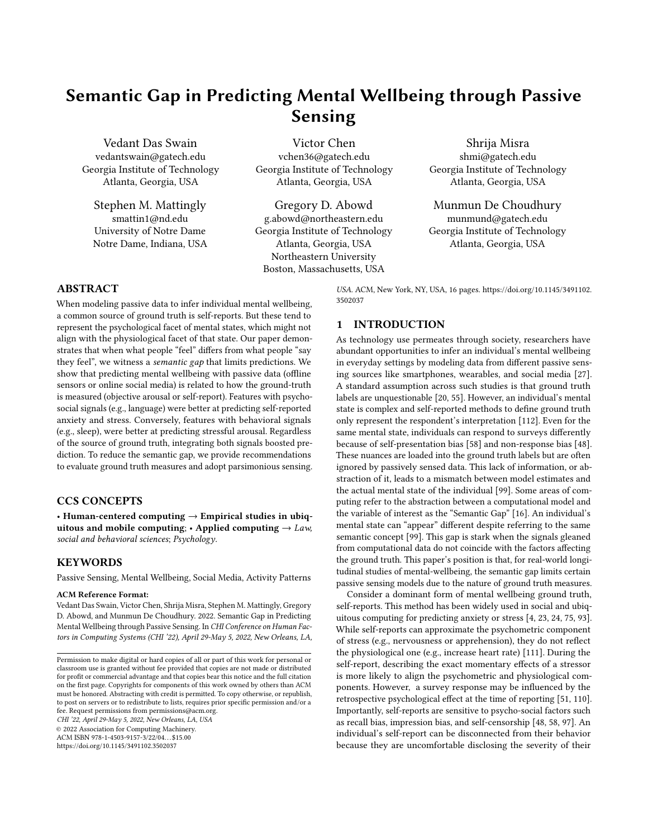of the audience can affect the content posted online. This literature leads us to believe that using passively sensed data from social media can capture some of the ecological factors that influence selfreports. To address our first research question, RQ1: "Compared to behavioral signals, do social signals have a smaller semantic gap with psychological interpretations of wellbeing?", our work investigates two specific hypotheses:

- H1a. Features extracted from social media posts are more predictive of self-reported anxiety than features extracted from sensors of offline physical activity
- H1b. Features extracted from social media posts are more predictive of self-reported stress than features extracted from sensors of offline physical activity

Physical activity data harnessed from offline devices observe a continuous stream of data that is neither segmented nor self-vetted by social effects. Therefore, we speculate that the semantic gap in using the latter to predict self-reported wellbeing will yield a larger semantic gap. Nevertheless, physical activity data can witness some of the social effects discussed earlier as self-presentation can manifest in the offline too [\[46\]](#page-14-18). However, since social media posts are explicitly laced with such factors, we expect it to approximate self-reports more effectively.

# <span id="page-3-0"></span>2.4 Behavioral Signals and Physiological Measurement of Wellbeing

RQ1 challenges the efficacy of passively sensing physical activity to predict psychological wellbeing. Meanwhile, it is also important to comprehend which aspects of wellbeing do physical activity features actually explain. We know that mental states like stress lead to many physiological changes in an individual, which are not captured by self-reports [\[51\]](#page-14-4). Therefore, to complement the previous question, we question if the semantic gap between physical activities and mental wellbeing reduces when the ground truth is measured via physiological assessments.

When facing a fight or flight situation, the body prepares for dynamic actions to cope with it. This manifests as a stress response in a variety of discernible physiological reactions, e.g. the heart beats faster, with more regularity, and therefore vigilance increases [\[41\]](#page-13-16). Today, commodity wearable devices can track the physiological correlates of stress and related constructs, such as heart rate (HR), and these constructs in the long term are important for measuring health [\[8,](#page-13-17) [92\]](#page-15-12). Thus, heart rate monitors and other mobile devices can record objective measures of stress such as increased heart rate and decreased heart rate variability [\[51,](#page-14-4) [73\]](#page-14-19). Moreover, many ubiquitous devices can capture behavioral signatures of the user required to infer such markers. Smartphones and other mobile technologies are capable of rendering features to describe sleep, step count (movement), and device usage. All of which have previously been harnessed to indicate anxiety and stress [\[11,](#page-13-18) [34,](#page-13-19) [86\]](#page-14-7).

Unlike self-reported measures of ground truth, which are sensitive to social effects, physiological measures (e.g., variation in arousal or cortisol) are relatively robust to such factors. Conversely, while individuals are aware of increased physiological changes they may not always report it as stress. Despite similar physiological effects, self-reports of stress reports are often related to the negative emotion [\[101\]](#page-15-13). In this regard, the physical activity of the individual

remains consistent with the physiological experience of stress. For instance, exercise is a positive way to use available energy released by physiological stress responses and is therefore associated with decreased stress and better wellness [\[6,](#page-13-20) [83\]](#page-14-6). Similarly, reduced sleep is known to reflect increased stress because heightened arousal due to stressors augments alertness and thus disrupt sleep [\[86\]](#page-14-7). Even seemingly unrelated behaviors of an individual like phone usage are related to stress [\[76\]](#page-14-5) because they can represent the sleep health of individuals [\[62\]](#page-14-20). These works lead us to our next research question, RQ2: "Compared to social signals, do behavioral signals have a smaller semantic gap with physiological interpretations of wellbeing?", which we investigate with a specific hypothesis:

H2. Features extracted from physical activity sensors are more predictive of high arousal duration than features extracted than social media posts

Since physical activity sensors tend to be an unobtrusive, unfiltered, and longitudinal characterization of an individual's behavior we expect them to approximate physiological changes in the individual [\[78,](#page-14-21) [82\]](#page-14-22). Even though features extracted from social media content can be used to infer physiological markers of wellbeing such as heart rate and arousal [\[90\]](#page-15-14), such information is limited to what people say, not what people do, and therefore poorly approximate physiological changes.

H2 can be viewed as a corollary of H1. While H1a and H1b attempt to expose evidence that high-level factors influencing mental wellbeing self-reports can exacerbate the semantic gap, H2 aims to find evidence that other interpretations of mental wellbeing can exhibit a narrower gap. We would also like to reemphasize that these hypotheses are not intended to assert that one approach is incapable of measuring wellbeing. On the contrary, these are motivated to disentangle how different interpretations of, or methods of measuring, the ground truth are biased towards different approaches based on the underlying factors certain modalities capture [\[118\]](#page-15-10).

## 3 STUDY AND DATA

## 3.1 The Tesserae Project

This work relied on data collected from a large multimodal sensing effort known as the Tesserae Project [\[69,](#page-14-23) [87\]](#page-14-24). This project investigated worker performance and wellbeing in-the-wild by using passively sensed data acquired from off-the-shelf technologies [\[26,](#page-13-21) [72,](#page-14-25) [90\]](#page-15-14), furthering prior work in the community that leverage multimodal sensing to determine individual mental health, wellbeing and related outcomes [\[67,](#page-14-26) [74,](#page-14-11) [81,](#page-14-27) [88,](#page-14-12) [108\]](#page-15-15). Such a dataset is particularly appropriate for our research questions because it contains different interpretations of the ground truth (self-reported and physiological) as well as multiple sources of passive data (physical activity and social media posts).

The dataset contains a set of 757 information workers (involved in fields like engineering, consultancy, and management) recruited from various field sites in the United States in a rolling enrollment from January 2018 through July 2019. This study was approved by the Institutional Review Board (IRB) at the researchers' institutions and the data was de-identified and stored in secured databases with regulated access privileges. On enrollment, participants completed an initial assessment to record individual differences, such as demographics. Subsequently, for purposes of passive sensing, a phone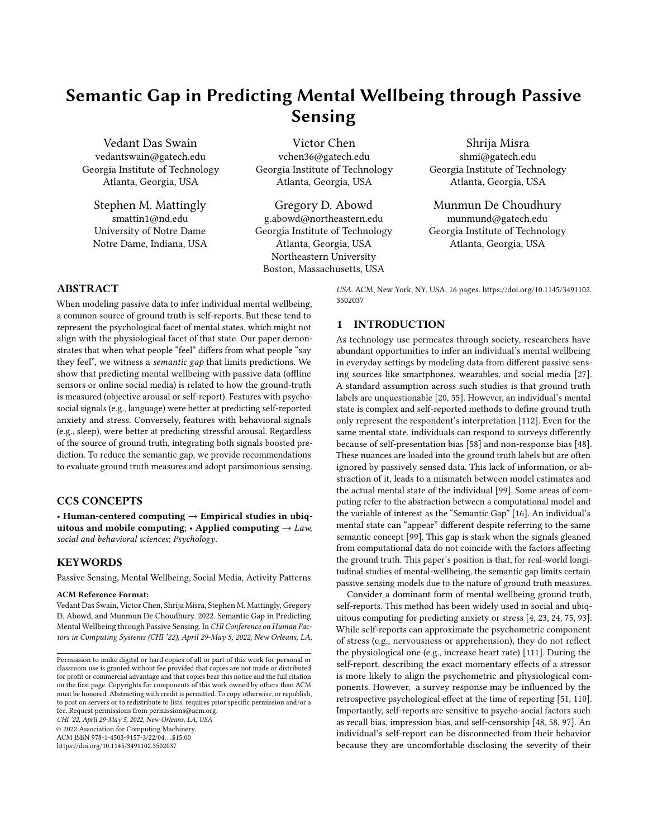<span id="page-4-0"></span>

Figure 1: Summary of participants. The solid red line indicates the median and the dotted green lines indicate the inter-quartile range.

application was installed in participants' smartphones [\[108\]](#page-15-15) and they were provided a wearable device (Garmin Vivosmart) along with Bluetooth beacons (Gimbal) [\[69\]](#page-14-23). These devices captured offline behaviors such as phone usage, locations, steps, sleep, and presence at home. Moreover, a subset of participants explicitly consented to the study of their historical and prospective social media data [\[87\]](#page-14-24). These different data sources represented the different comparative models analyzed in this paper. At the same time, the phone agent facilitated Ecological Momentary Assessments (EMAs) to capture daily variations in mental wellbeing states. The self-reports for anxiety and stress form the basis of the perceptual representation of ground truth (RQ1). Similarly, the wearable provided daily estimates of the duration an individual's physiology was in a state of high arousal (RQ2) [\[8\]](#page-13-17).

This paper only considered those 317 participants that consented to data collection of offline behaviors as well as the social media collection. 129 participants reported they were female and 188 reported they were male (Figure [1b\)](#page-4-0). Figure [1a](#page-4-0) shows the age distribution and the average age was about 35 years (stdev. = 9.27). Figure [1c](#page-4-0) depicts the study period for the participants. On average, participants provided self-reports for 33 days (stdev. = 18.44)

#### 3.2 Ground Truth

Our central argument is that different ground truth for wellbeing are associated with unique ecological factors, which are differentially represented in passive sensing modalities. In particular, this work was scoped to predict anxiety and stress because these wellbeing constructs can be represented both psychologically and physiologically. While the former was captured with self-reports, the latter was measured through precise changes in bodily responses.

3.2.1 Self-Reports. Self-reports are considered a gold-standard method to retrieve ground truth labels in many studies that use passive sensing to infer individual wellbeing [\[10,](#page-13-9) [17,](#page-13-10) [19,](#page-13-11) [30,](#page-13-12) [42,](#page-13-13) [65,](#page-14-9) [71,](#page-14-10) [74,](#page-14-11) [88,](#page-14-12) [91\]](#page-15-7). However, as described in Section [2.2](#page-2-0) and [2.3,](#page-2-1) a self-report is merely an evaluation of the individual's state [\[112\]](#page-15-1) and these evaluations face interference from multiple factors that do not necessarily impact the actual state of the individual's wellbeing [\[20,](#page-13-1) [54,](#page-14-13) [58,](#page-14-1) [97\]](#page-15-6). Notably, values recorded in self-reports are subject to self-presentation bias [\[1,](#page-13-15) [58\]](#page-14-1) and non-response bias [\[48\]](#page-14-2). For RQ1, we studied if certain passive sensing modalities were more predictive of self-reports because they inherently reflect an individual's attitude towards disclosure and censorship.

<span id="page-4-1"></span>

Figure 2: Distribution of Ground Truth. The solid red line shows the median and the dotted green lines show the interquartile range.

Anxiety. The emotional state that represents an exaggerated unpleasantness, negativity, or fear of future events is known as anxiety [\[63\]](#page-14-28). While anxiety can manifest as a trait, reflecting an individual's predispositions to react to certain stimuli, it also occurs as a transitory feeling, or a state [\[63,](#page-14-28) [102\]](#page-15-16). This paper is concerned with the state aspect of anxiety. In fact, state anxiety can be characterized by both conscious perceptions (of apprehension or nervousness) and physiological arousal [\[102\]](#page-15-16). These aspects position anxiety as a viable construct for this study because it can vary in interpretation based on the measurement method. In this dataset, participants responded to a daily single item instrument developed by [Davey](#page-13-22) [et al.](#page-13-22) to record the changes in anxiety [\[28\]](#page-13-22). Figure [2a](#page-4-1) shows the distribution of self-reported state anxiety. On a scale of 1-5, the mean response was 1.68 (stdev. = 0.81).

Stress. The way an entity responds to adverse ecological demands is known as stress [\[95\]](#page-15-17). The environmental factors that elicit stress are known as "stressors", and these contain both psychological or physiological components [\[56\]](#page-14-29). While humans tend to witness stressors that are some amalgam of both components, the effects of each component have differential outcomes in terms of response behaviors and duration [\[56\]](#page-14-29). Therefore, stress is another wellbeing construct that can be interpreted differently based on how it is measured. Particularly, self-reported measures of stress are more indicative of perceived stress or psychological stress [\[61\]](#page-14-30). Participants responded to a daily single-item omnibus question to explore this phenomenon, "Overall, how would you rate your current level of stress?". This instrument was internally validated within the program metrics of the overall project by robustly correlating it with other measures, to establish concurrent validity [\[69\]](#page-14-23). Figure [2b](#page-4-1) shows the distribution of self-reported stress. On a scale of 1-5, the mean response was 1.97 (stdev. = 0.90).

3.2.2 Physiological Measurement. Although self-reported methods to acquire ground truth have dominated studies of passive sensing, wellbeing can be measured in-situ through physiological metrics [\[52\]](#page-14-15). For instance, both anxiety and stress are tied to physiological responses. These physiological responses may intersect with psychological ones, but can be dislocated from them as well (Section [2.4.](#page-3-0) Accordingly, in RQ2, this paper studies if particular passive sensing modalities are more effective predictors of physiological measures, which are robust to social variances but tightly coupled with behavioral changes in the individual.

High-Arousal Duration Both state anxiety [\[102\]](#page-15-16) and stress [\[56\]](#page-14-29) are linked to arousal. When an individual anticipates or is subjected to a stressor they experience physiological changes such as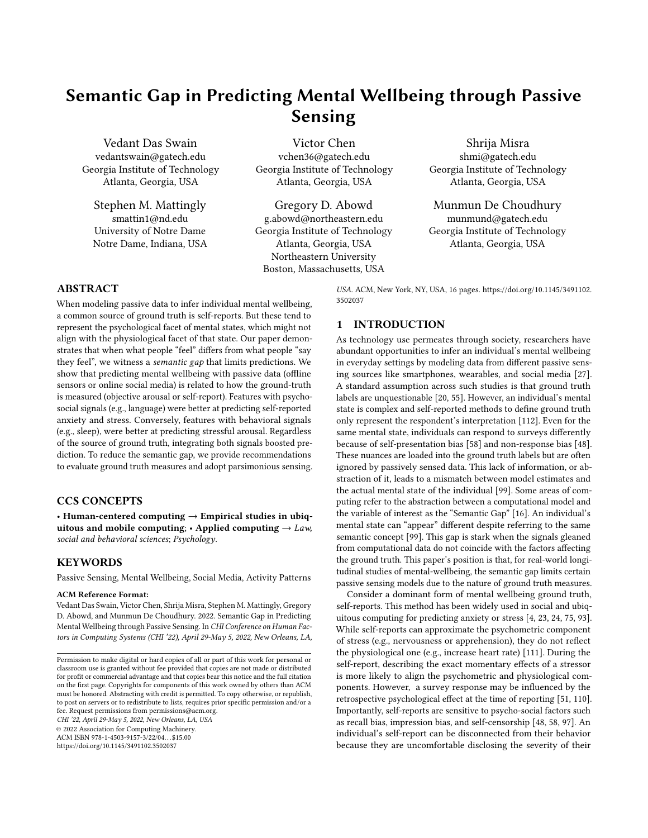<span id="page-5-0"></span>Table 1: Activity features derived from offline sensors; \* : includes features aggregated by epochs, i.e, 24 hours, 12am - 6am, 6am - 12pm, 12pm - 6pm and 6pm - 12am

| Category              | Features                                                                                                                                             | Stream                  |
|-----------------------|------------------------------------------------------------------------------------------------------------------------------------------------------|-------------------------|
| <b>Activity Label</b> | Still duration <sup>*</sup> , walking duration <sup>*</sup> , run-<br>ning duration <sup>*</sup> , unique activity count                             | Smartphone              |
| Movement              | Steps count, steps goal, floors climbed,<br>floors goal, distance covered                                                                            | Wearable                |
| Mobility              | Unique location count, total location<br>count. inter-location distance                                                                              | Smartphone              |
| Sleep                 | Sleep duration, sleep debt, time of<br>wakeup, time of bedtime                                                                                       | Smartphone,<br>Wearable |
| Screen                | Unlock Duration*, Unlock Count*                                                                                                                      | Smartphone              |
| Presence              | Work session duration, desk session<br>duration, desk session count, percent-<br>age time at work, percentage time at<br>desk. 30 minute break count | <b>BT</b> Beacons       |

heightened heart rate (HR) and changes to their heart rate variability (HRV) [\[51,](#page-14-4) [73\]](#page-14-19). Such reactions are linked to a "fight-or-flight" response through the Sympathetic Nervous System (SNS). The participants in our dataset were equipped with wearables that could measure the HR and HRV of the individual. Based on this, we obtained Garmin's HealthAPI's [\[8\]](#page-13-17) estimates of the daily duration for which the user was in a high arousal state [\[29\]](#page-13-23). As per Firstbeat Analytics (the framework powering the API) a simultaneous increase in an individual's HR along with reduced HRV triggers the SNS to activate their body into a stress state [\[103\]](#page-15-18). Prior work has shown that Garmin's HR-based inference of maximal oxygen update — a key physiological indicator of stressful arousal, known as  $VO<sub>2</sub>$  max — was highly correlated ( $r = 0.84$ ) with measurements from clinical instruments [\[57\]](#page-14-31). The Garmin HealthAPI leverages Firstbeat Analytics, which reported that even in free-living conditions, using HR to infer stress demonstrated low error (approximately 5% Mean Absolute Percentage Error) in estimating  $VO<sub>2</sub>$  max [\[114\]](#page-15-19). Garmin wrist-worn devices have been used by researchers in the domain to provide physiological ground truth for modeling passively sensed behavioral signals [\[26,](#page-13-21) [39,](#page-13-24) [90\]](#page-15-14). In this study, we only considered the high arousal duration for days the participants' wearable provided more than 18 hours of data, in order to get a representative sample [\[69\]](#page-14-23). Figure [2c](#page-4-1) shows the distribution of the daily high-arousal duration. On average, for a given day the participant experiences a high-arousal state for 4193 seconds or 1.16 hours.

## 3.3 Passively Sensed Data

Researchers have used several unobtrusive methods to retrieve low-level digital traces or "markers" that describe individuals and use these features to make inferences for mental wellbeing. To illustrate the semantic gap, we focused on two different sources of passive sensing, offline sensors that capture behavioral signals and language on social media that reflects social signals [2.4\)](#page-3-0). By using these sources we built comparative models to predict different interpretations of the ground truth (self-report and arousal duration) and tested our hypotheses to address our research questions.

<span id="page-5-1"></span>Table 2: Language features derived from social media

| Category             | <b>Features</b>                                                                                                                                                                                                                                                                                                                                                                                                                                                                                                                                                                                                                                                                                                           |
|----------------------|---------------------------------------------------------------------------------------------------------------------------------------------------------------------------------------------------------------------------------------------------------------------------------------------------------------------------------------------------------------------------------------------------------------------------------------------------------------------------------------------------------------------------------------------------------------------------------------------------------------------------------------------------------------------------------------------------------------------------|
| LIWC                 | Affective attributes: anger, anxiety, negative and posi-<br>tive affect, sadness, swear; Cognitive attributes: causa-<br>tion, inhibition, cognitive mechanics, discrepancies,<br>negation, tentativeness; Perception: feel, hear, insight,<br>see; Interpersonal focus: first person singular, second<br>person plural, third person plural, indefinite pronoun;<br>Temporal references: future tense, past tense, present<br>tense; Lexical density and awareness: adverbs, verbs,<br>article, exclusive, inclusive, preposition, quantifier;<br>Biological concerns: bio, body, death, health, sexual;<br>Personal concerns: achievement, home, money, reli-<br>gion; Social concerns: family, friends, humans, social |
| Sentiment<br>N-Grams | Positive score, negative score, neutral score<br><b>Top 500</b>                                                                                                                                                                                                                                                                                                                                                                                                                                                                                                                                                                                                                                                           |

3.3.1 Physical Activity. To collect continuous physical activity data, participants had of three different sensor streams, (i) smartphone, (ii) wearable, and (iii) Bluetooth beacons, as introduced above. The application installed in the smartphone [\[108\]](#page-15-15) measured screen activity (or device use), tracked GPS location, and provided activity labels [\[7\]](#page-13-25). The wrist-worn wearable estimated activity duration, step counts and was combined with the screen usage to yield sleep features. Lastly, the Bluetooth beacons were placed on the front door of the participant's residence and on their work desk. These beacons were observed by the individual's phone agent [\[9\]](#page-13-26) to infer the time they spent on their desk, when they came into work, and how frequently they were away from the desk [\[26\]](#page-13-21). Table [1](#page-5-0) summarizes the features derived from this set of sensors. These features are grounded in prior works of passive sensing [\[12,](#page-13-27) [72,](#page-14-25) [108\]](#page-15-15). For this paper, we only analyzed the data collected on days that the user provided self-reports. Every feature was aggregated at a day-level (e.g., daily mean) for each day in the sample.

3.3.2 Social Media Language. For this paper, we specifically focused on the data on participant posts on Facebook, given Facebook was the most widely used platform in our participant pool [\[87\]](#page-14-24). Social media data provided psycholinguistic attributes of the participant posts using LIWC (Linguistic Inquiry and Word Count) [\[79\]](#page-14-32) This lexicon has been used in prior work to study mental health and wellbeing through social media [\[30\]](#page-13-12). Based on this [\[30\]](#page-13-12), we also used 50 categories of LIWC that [De Choudhury et al.](#page-13-12) segregated into the 9 different groups, affective attributes, cognitive attributes, perception, interpersonal focus, temporal references, lexical density and awareness, biological concerns, personal concerns, and social concerns. Additionally, posts were characterized with sentiment analysis (score for positive, negative, and neutral label) [\[66\]](#page-14-33). Lastly, this data provided a large set of open vocabulary features, i.e., the usage of the top 500 n-grams [\[24\]](#page-13-5) within the corpus of all posts in the study. These features were sparse because n-grams do not appear consistently on all posts but are still a mainstay in language-based predictions of mental wellbeing [\[3,](#page-13-28) [91,](#page-15-7) [109\]](#page-15-20). Table [2](#page-5-1) summarizes these features.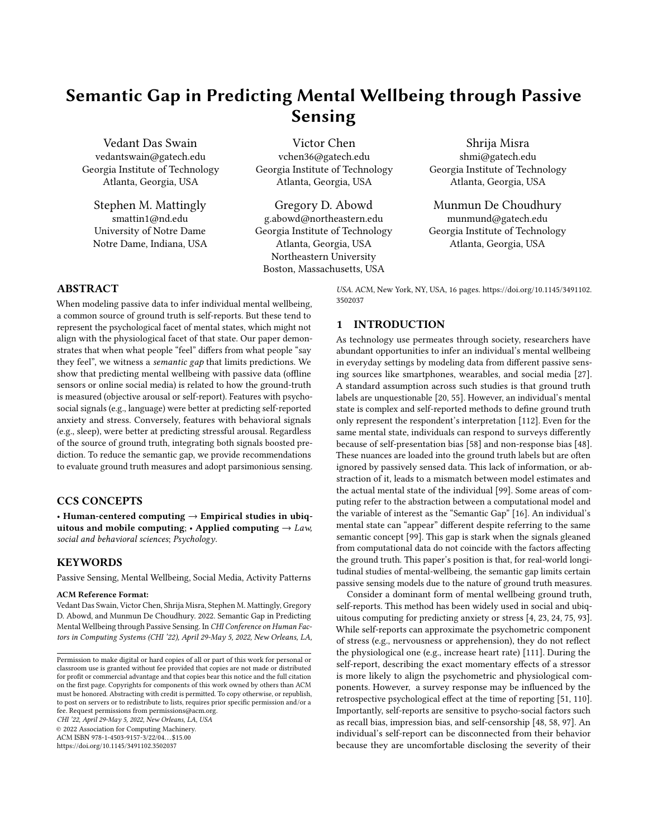<span id="page-6-0"></span>

Figure 3: The triangulation framework helps compare different prediction models. For H1a and H1b,  $M_{DA}$  and  $M_{S}$  predict self-reports of anxiety and stress respectively. For H2,  $M_{D\partial}$  and  $M_{S}$  predict high arousal duration.

#### 4 METHOD

To test our hypotheses, we compared the performance of two approaches for predicting different ground truth for mental states. The first used modalities with psycho-social signals,  $M_{\text{S}}$  (social media language features), while the second used those with behavioral signals,  $M_{p,d}$ (physical activity features). Neither self-report assessments nor arousal measurements alone can comprehensively capture the nuances of anxiety or stress. Therefore, we compared different approaches to predict them as a means to disentangle the semantic relationship between low-level computer representations and high-level mental wellbeing constructs. This approach was motivated by previous works that used quantitative data triangulation [\[36\]](#page-13-8). The general framework of triangulation [\[31\]](#page-13-29) is suitable for deconstructing predictive analysis of wellbeing using passive sensing because it "adds rigor, breadth complexity, richness, and depth to any inquiry". Figure [3](#page-6-0) illustrates an overview of our investigation framework.

#### 4.1 Feature Engineering

This paper refers to both anxiety and stress as 'states', because these change in short periods of time. In the scope of this work, the ground truth measures (both self-report and arousal) were collected at the day-level granularity [\[69\]](#page-14-23). Prior works in pervasive sensing for mental wellbeing [\[38,](#page-13-30) [96,](#page-15-21) [107\]](#page-15-22) motivated us to analyze behavior not just during the day of ground-truth measure, but also in periods preceding it. Even theoretically, mental states are indicated by general trait behavior that changes but is less sensitive [\[110\]](#page-15-5). Therefore, our approach accounted for the historic sensor data to approximate the target concept. To this end, we first collated features that spanned a period prior to the prediction day.

4.1.1 Feature Windows. The predictive models we built for both  $M_{\nu a}$  and  $M_{\nu s}$  to consider a window of time for the features. For instance, to predict the state-anxiety (H1a) for day  $n$  the model analyzed features in a span of  $d$  days before  $n$ . Here,  $d$  dictates the fixed window size.

Physical Activity. In our dataset, since offline sensors could continuously monitor individuals we varied the window size between 1 − 15 days. This results in  $f \times d$  dimensions if f is the original set of features computed for each day and  $d$  is the window size. Importantly, these sensors were not active before the first self-report was collected for any participant [\[69\]](#page-14-23), therefore this modality was limited in how far the window could stretch retrospectively. Since the average participants had 31 labels the upper limit of 15 days was chosen to balance the remaining days for evaluation. If a window of, say, 31 days was chosen then in most cases, only the most recent label would have physical activity features for every day while all days before that would have empty data.

Online Language. Unlike physical activity data, which provided a near-continuous and contiguous signal, the online language data obtained from social media is extremely sporadic. Social media can be considered a form of "virtual sensor" that capture rich momentary events, which occur irregularly [\[106\]](#page-15-23). This is inherent to the approach as people do not post regularly, thus making social media platforms approximate event-based sensors. Thus, the window size for this modality varied between 30 − 180 days, with a shift of 30 days between each window. In contrast to offline sensors that were only instrumented after enrollment, social media allowed us to access data prior to enrollment and could, therefore, support a much broader window [\[87\]](#page-14-24).

4.1.2 Prepossessing. This section elaborates on our methodology for imputing missing values and standardizing features in windows. Physical Activity. On certain days particular features could be missing due to participant compliance (e.g., the participant did not charge a device or data failed to log). Consequently, we imputed the missing values of a feature by substituting it with the mean of that feature for an individual for a given window. To demonstrate, if a feature value was missing for an original feature  $f^a$  on day  $d_j$ , then the average will be  $\sum_{j=1}^d f_j^a/d$ , where d is all days the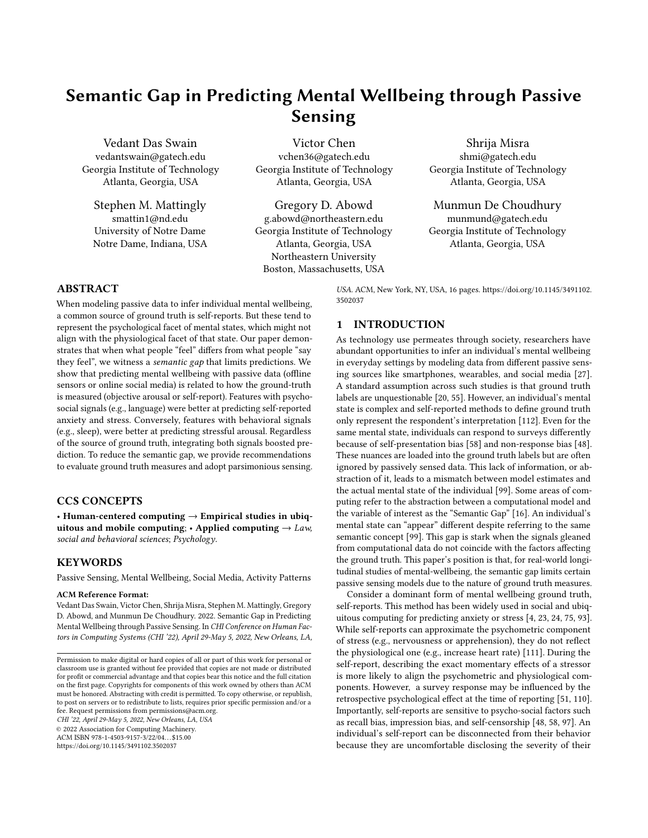<span id="page-7-0"></span>

Figure 4: Comparing models with different window length  $\overline{a}$ to predict anxiety to predict anxiety

<span id="page-7-2"></span>

(H<sub>1b)</sub>, and  $\sigma$  and objective measured high-arousal duration (H2). In particular duration (H2). In particular,  $\sigma$ Figure 5: Comparing models with different window length<br>to predict stress that rely on ensemble learning because these approaches "reduce to predict stress to predict stress

feature was not null. After this the features were standardized by subtracting the mean of the feature values and dividing it by the  $\,$ standard deviation. Similar to the imputation, the standardization procedure was also applied within windows, i.e., the average and standard deviation for any feature  $f_i^a$ , was calculated on  $[f_1^a, f_d^a]$ <br>where *d* is the window size where  $d$  is the window size.  $\ddot{\mathbf{r}}$  as the space input features  $\ddot{\mathbf{r}}$ , such as those ex-standard space ex-standard space ex-standard space ex-standard space ex-standard space ex-standard space ex-standard space ex-standard space ex-standar

Online Language. Empty values occur more frequently because most participants did not post everyday. Because of this limitation,<br>CW fold care could call the washing out any true variations. Therefore, we heuristically rejected windows<br> $\mathbf{r}$ that have fewer than 1 post per week on account of low density. This was followed up by the approach described earlier where both<br>imputation and standardization are applied within windows. filling in missing values with averages could lead to washing out This was followed up by the approach described earlier where both  $\;$ 

## <span id="page-7-3"></span>4.2 Feature Processing and Model Training  $n = 1$  and the model of model training.

We developed different non-linear regression models for  $M_{pa}$  and we accele alternation and mean regression means for  $m_{pd}$  and  $M_{5m}$  to estimate self-reported state anxiety (H1a), perceived stress (H1b), and objectively measured high-arousal duration (H2). In particular, we trained models with both modalities using estimators<br>We self-reported and self-reported and self-reported and self-reported and self-reported and self-reported and self-reported and self-reported and self-repor the variance — thereby improving the accuracy" of estimates [\[117,](#page-15-24) p. 1]. The Random Forest regressor aggregates independent decision trees, each of which learns on a random sample of input features [\[64\]](#page-14-34). *Gradient Boost* learns incrementally over time by increasing the importance of poorly estimated observations in every  $\;$ subsequent iteration [\[35\]](#page-13-31). An additional variation to this is Extreme $\overline{a}$ Gradient Boosting (*XGBoost*), which is both robust to noise and<br>designed to declarithe same in anti-fortage [21], and a change of designed to deal with sparse input features [\[21\]](#page-13-32), such as those ex-<br>the the best sparse in late Magazene in different we del was that rely on ensemble learning because these approaches "reduce tracted from social media data. Moreover, a different model was

#### <span id="page-7-1"></span>Table 3: Summary of between models comparison for self-Table 3: Summary of between models comparison for selfreported anxiety

 $\frac{1}{2}$ · $n < 1$  · · $n < 0$ ·1  $(\cdot^2: p < 1, \cdot^2: p < 0.1, \cdot^{**}: p < 0.05, \cdot^{**}: p < 0.01, \cdot^{***}: p < 0.001)$ 

|                    |           | Pearson's R  | <b>SMAPE</b> |              |  |
|--------------------|-----------|--------------|--------------|--------------|--|
| Regressor          | $M_{DA}$  | $M_{\rm sm}$ | $M_{DA}$     | $M_{\rm sm}$ |  |
| Random Forest      | $0:34***$ | $0:56***$    | 0.18         | 0.16         |  |
| Gradient Boost     | $0:27***$ | $0:51***$    | 0.19         | 0.17         |  |
| <b>XGBoost</b>     | $0:27***$ | $0:51***$    | 0.19         | 0.17         |  |
| Window Size (days) | 13        | 30           |              | 30           |  |

built for every window size and each model was trained using a 5unt for every window size and each moder was<br>ald areas volidation mothed Additionally the sui tance are parameters for each moder provj. Since the information<br>used to predict the target value for each day was spread across a window of d days, it leads to  $f \times d$  dimensions, which can sabotage whilow of a days, it is also  $t \times a$  dimensions, which can sabolage the training because of the curse of dimensionality. To tackle this random Forest 0.33 and the case of uncertainty. To take this we employed certain feature transformation and reduction techniques to improve the model training. These processing approaches more to improve the model relating. These processing approaches are applied to each model separately, i.e., it is unique to the window are applied to each moder separately, i.e., it is unique to the window<br>size. Given our cross-validation approach, these feature processing size. Given our cross vandation approach, these reduce processing steps were "fit" only to the training data without incorporating any reps were the omy to the training data without incorporating any<br>f the observations in the testing folds. of the observations in the testing folds. fold cross-validation method. Additionally, the grid search approach<br>through the group was team for you have also the distribution of the information tuned the parameters for each model [\[100\]](#page-15-25). Since the information

 $\overline{a}$  and  $\overline{a}$   $\overline{a}$  mutual Information. Lastly, for  $\overline{a}$ 4.2.1 Coefficient of Variance. First, we estimated the variance explained by each dimension measuring the *coefficient of variance*<br>(SU) fail with  $(CV)$  [\[91\]](#page-15-7). With a conservative bound, we remove dimensions that are beyond 1 standard deviation of the average CV. For the linguistic features included in the  $M_{sm}$  models, this typically led to a dimension reduction by 20 − 26% with windows varying between 30 − 180 days. For the physical activity features in  $M_{\rho a}$ , this led to it produces a better model without this selection. a reduction of 32 − 14% for windows of size  $1 - 14$  days. Note: The  $M_{\sf p}{}_{\sf a}$  model used in H2 does not use this aspect of the pipeline because

4.2.2 Principal Component Analysis. Next, we further reduced the dimensions by performing PCA on the remaining dimensions [115]. This approach identifies latent components in the data (linear combinations of existing dimensions) that explain maximum variance. The first set of principal components that can cumulatively explain more than 90% of the variance in the data were selected as dimensions going forward. For  $M_{\rho a}$ , between window sizes of 1−14 days, this process reduced dimensions by 62 – 84% respectively. Similarly, for  $M_{\text{5m}}$ , between window sizes of 30 − 180 days we observed a reduction of 51 − 86%.

<span id="page-7-4"></span>4.2.3 Mutual Information. Lastly, for  $M_{sm}$  we included a final shortlist of dimensions based on mutual information between the  $\,$ input dimensions and the target variable [105]. Based on the mutual information scores, this process selected the top 10 percentile dimensions. It is important to note that this procedure is both unnecessary and detrimental to apply on the features of  $M_{\rho a}$  as these models had lower dimensionality to begin with and reduction  $\hspace{0.1mm}$ beyond the PCA described earlier generated weaker models.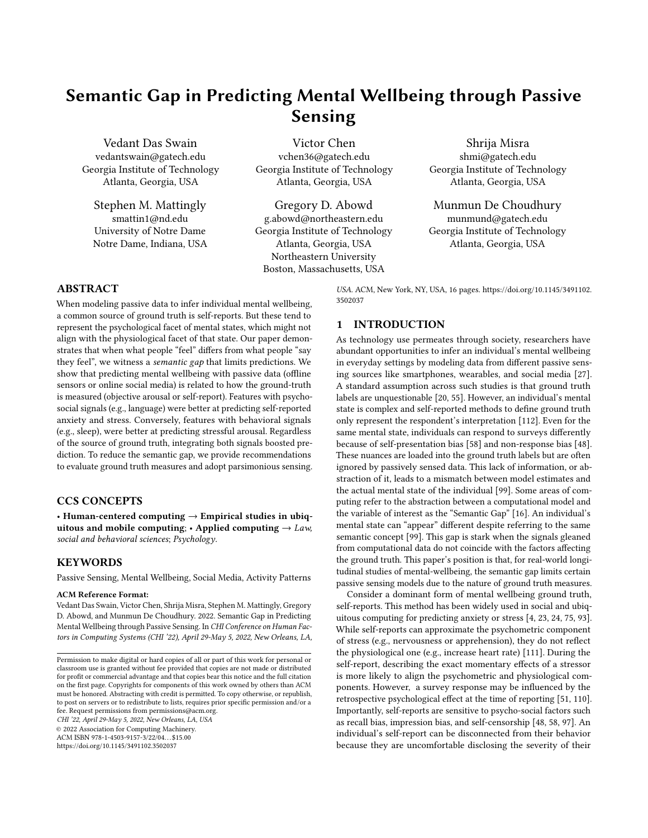## 5 RESULTS

This paper studies the semantic gap by comparing different prediction approaches with an analytic process grounded in the data triangulation framework [\[36\]](#page-13-8). This framework enabled us to methodologically evaluate heterogeneous approaches to understand the same phenomenon [\[31\]](#page-13-29). The approaches we compared in this study differ in terms of both data source and methodology. Therefore, for each , this paper addresses the research questions on the basis of the best models for  $M_{pa}$  and  $M_{sm}$ .

Within Modality Comparisons. The best model was chosen based on the highest pooled Pearson's correlation between the true values and the predicted values. Specifically, we pooled together the predictions from each cross-validation fold and then computed the correlation with the ground truth. This approach is robust to heterogeneity in target variables' distribution between folds and provides a more generic measure of performance [\[2\]](#page-13-33). We used the Pearson's correlation coefficient because it spans all samples to describe a complete relationship, is not sensitive to the distribution of samples, and does not assume normality [\[77\]](#page-14-35). This correlation contrasts a model's input features and the target variable. For internal validity of the regression models, we compared the Symmetric Mean Absolute Percentage Error (SMAPE) against an arbitrary regression model that always predicted the mean of the training data.

Between Modality Comparisons. Once the best models of  $M_{DA}$ and  $M_{\text{S}m}$  were identified we validated comparisons between  $M_{\text{p}a}$ and  $M_{\text{S}m}$  by performing a permutation test [\[5,](#page-13-34) [105\]](#page-15-27). Essentially, we attempted to reject the null hypothesis that a random set of features in a similar feature space (range and dimensionality) will still perform better than the worse model [\[91\]](#page-15-7). We permuted these random features and computed the probability (p−value) of such an arbitrary model improving over the benchmark.

# <span id="page-8-2"></span>5.1 RQ1: Semantic Gap in Predicting Psychological Aspects of Wellbeing

5.1.1 H1a:  $M_{\text{sm}}$  is a better predictor of self-reported anxiety. We find language on social media to be more indicative of self-reported state anxiety when compared with physical activity from offline sensors. With physical activity features, we find the best model for  $M_{\nu a}$  to be with a window length of  $d = 14$  and using the Random Forest regressor (Figure [4a](#page-7-0)). This model recorded a Pearson's  $r=$  0:34. In comparison to an arbitrary regressor, which demonstrated a SMAPE<sup>=</sup> <sup>0</sup>:20, this model shows a SMAPE<sup>=</sup> <sup>0</sup>:18, a 10% improvement over the baseline. By contrast, for the same target variable, the best  $M_{\text{sm}}$  model was at  $d = 30$  with a Random Forest regressor (Figure [4b](#page-7-0)), which yields a Pearson's r<sup>=</sup> <sup>0</sup>:56. In comparison to the baseline (SMAPE<sup>=</sup> <sup>0</sup>:21), this model improves by 30% (SMAPE<sup>=</sup> <sup>0</sup>:14). Between models, we see the Pearson's r in the anxiety values predicted by  $M_{\text{S}}$  to be 64% better than values predicted by  $M_{D2}$ . To test the robustness of this comparison we ran the pipeline for  $M_{\text{S}}$  1000 times with randomly generated permutations of the feature values and find the probability of improvement over  $M_{\nu a}$  to be less than 0:001. As a result, this asserts  $M_{\nu s}$  is more predictive of self-reported state anxiety than  $M_{\rho a}$ , and this supports hypothesis H1a (Table [3\)](#page-7-1).

#### <span id="page-8-0"></span>Table 4: Summary of between models comparison for selfreported stress

 $(2\cdot p < 1, ?:p < 0.1, '^{**}:p < 0.05, '^{***}:p < 0.01, '^{***}:p < 0.001)$ 

|                       | Pearson's R |              | <b>SMAPE</b> |              |
|-----------------------|-------------|--------------|--------------|--------------|
| Regressor             | $M_{DA}$    | $M_{\rm sm}$ | $M_{DA}$     | $M_{\rm sm}$ |
| Random Forest         | $0:37***$   | $0:51***$    | 0.18         | 0.17         |
| <b>Gradient Boost</b> | $0:31***$   | $0:44***$    | 0.18         | 0.18         |
| <b>XGBoost</b>        | $0:32***$   | $0:45***$    | 0.18         | 0.18         |
| Window (days)         | 14          | 30           | 14           | 30           |

5.1.2 H1b:  $M_{\text{sm}}$  is a better predictor of self-reported stress. Similar to the previous result, language on social media is more predictive of self-reported stress than physical activity from offline sensors. In the case of  $M_{Dd}$ , the window length of  $d = 14$  with the Random Forest regressor (Figure [5a](#page-7-2)) emerged at the best model with a Pearson's  $r= 0:36$ . This improved on the baseline (SMAPE= 0:20) by 10% (SMAPE= 0:18). On the other hand, the best  $M_{\text{S}}$ m model was at a  $d = 30$ , also with Random Forest shows a *Pearson's*  $r = 0.51$ (Figure [5b](#page-7-2)). Compared to the baseline (SMAPE<sup>=</sup> <sup>0</sup>:20), this model had a SMAPE= 0:17, i.e., a 15% improvement. When comparing the two models, we find the Pearson's r of  $M_{\text{Sf}}$  to be 37% better than that of  $M_{\nu a}$ . The permutation test was run 1000 times for random versions of  $M_{\text{S}}$  and improved over  $M_{\text{D}}$  less than 0:001 of the time. Based on the results,  $M_{\text{S}}$  was a better predictor of self-reported stress than  $M_{\rho a}$ , and therefore the hypothesis H1b holds (Table [4\)](#page-8-0).

<span id="page-8-1"></span>5.1.3 Post-Hoc Analysis. The results of the experiments argue that features extracted from social media posts can encapsulate analogous phenomena and therefore predict the target variable better. However, social signals can be derived from data acquired through offline signals as well. Since offline interactions are subject to similar presentation effects [\[46\]](#page-14-18), we performed an additional experiment that augments  $M_{DA}$  with some physically sensed social features. In particular, we used the Bluetooth beacons to identify social behaviors, such as the time of first interaction, number of unique interactions, and their duration (Table [5\)](#page-9-0). We included these features in the models used to test  $M_{pa}$  to predict the ground truth. The paper refers to this combined modality as,  $\mathcal{M}^*_{\rho a}.$  In fact, the pipeline used for  $M_{\rho a}$  is the best framework for  $M_{\rho a}^*$  as well. For anxiety, the optimal results were produced with a random forest regressor at a window length of  $d = 13$  where the Pearson's r is 0:49. Albeit still less than  $M_{\text{S}m}$  (Pearson's r is 0:56), this was markedly more than the best model for  $M_{DA}$  (Pearson's r is 0:34) by 64%. Actually, for predicting stress, the best results emerged with the same regressor and same window length (Pearson's  $r = 0.51$ ). Not only was it better than  $M_{pa}$ (Pearson's r = 0:37) by 41%, it was comparable to  $M_{\text{S}}$  as well (Pearson's r = 0:51).

<span id="page-8-3"></span>5.1.4 Interpretation. The results for predicting self-reported anxiety and self-reported stress support our hypotheses towards our first research question, which investigates if features encapsulating social signals reduce the gap with self-reported measures of wellbeing (Figure [6a](#page-9-1) and Figure [6b](#page-9-1)). To reemphasize the intuition behind these hypotheses we reiterate the motivation discussed in Section [2.3.](#page-2-1) Mental wellbeing constructs like anxiety and stress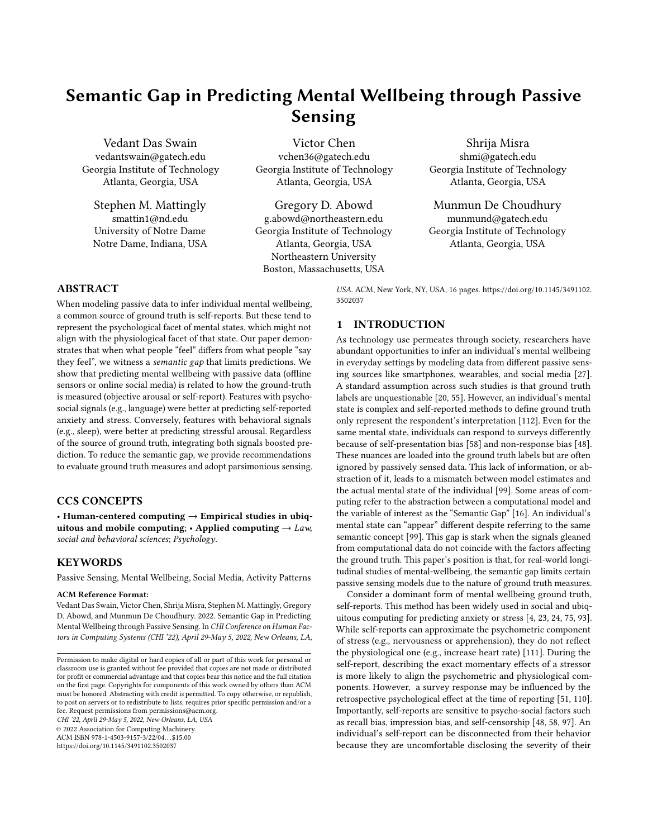| Category   | Features                                                                                                                                                                                           | Stream          |
|------------|----------------------------------------------------------------------------------------------------------------------------------------------------------------------------------------------------|-----------------|
| Colocation | Time of first and last interaction, num-<br>ber of interactions, number of unique<br>participants, duration of interactions,<br>percentage alone, percentage with at<br>least one/two/three others | BT Bea-<br>cons |

<span id="page-9-1"></span>

Figure 6: Comparison between best models of Figure 6: Comparison between best models of different  $\log_{1}$ modalities (RQ1)

have different aspects. Self-reports are skewed to capture the psy-the individual actually behaves. Moreover, self-reports are influenced by many social effects of self-presentation such as impression<br>enced by many social effects of self-presentation such as impression enced by many social encers of self-presentation such as impression<br>management [\[53,](#page-14-16) [58\]](#page-14-1) and response bias [\[48\]](#page-14-2). These effects are inmanagement [55, 56] and response blas [46]. These checks are in<br>conspicuous to sensors that capture physical activity, even though management [52, 57] and response bias [47]. These effects are in-that data can be modeled to predict such self-report (evident from that data can be modeled to predict such sensors to port (evident from<br>the improvement on the baseline). By contrast, data sourced from the improvement on the baseline). By contrast, data sourced from<br>social media are weaved with similar ecological effects that could in-social incula are weaved with similar ecological enects that could in<br>fluence an individual's self-report. For example, self-disclosure [\[37\]](#page-13-6) nuchce an marviolaar's self-report. For example, self-discrosure [37] and self-censorship [\[25\]](#page-13-7) are both factors that affect the language  $f$  and self-censorsing  $[25]$  are both needed sthat ancet the hanguage posted online. This could explain why  $M_{\text{S}m}$  exhibited better results have different aspects. Self-reports are skewed to capture the psychological aspects [\[51\]](#page-14-4) that might not be concordant with how

<span id="page-9-0"></span>

 $\Gamma$ istan  $\sigma$ k  $\Gamma$ a activity features was dala than the cliff corresponding than the corresponding to  $\Gamma$ Figure 7: Comparing models with different window length<br>to gredist high againsed duration to predict high-arousal duration

<span id="page-9-3"></span> $\tau$ -ble Goost regressor (figure 1a), which showed a between the 1a, to Table 6: Summary of model comparison between models to predict high-arousal duration<br>(( ) = 150, the best (\*) = 100, control occured at (\*\*\*) = 10,000, control occur predict high-arousal duration

 $A^{(-2)}:\rho < 1$ ,  $A^{(+2)}:\rho < 0.1$ ,  $A^{(+2)}:\rho < 0.005$ ,  $A^{(+2)}:\rho < 0.001$ ,  $A^{(+2)}:\rho < 0.001$  $({}^{\text{-}}:\!p < 1, \, \text{``}:p < 0.1, \, \text{``}:p < 0.05, \, \text{``}^{**}\text{''};p < 0.01, \, \text{``}^{***}\text{''};p < 0.001)$ 

|                       | Pearson's R |              | <b>SMAPE</b> |              |  |
|-----------------------|-------------|--------------|--------------|--------------|--|
| Regressor             | $M_{DA}$    | $M_{\rm sm}$ | $M_{DA}$     | $M_{\rm sm}$ |  |
| Random Forest         | $0:63***$   | $0:56***$    | 0.45         | 0.46         |  |
| <b>Gradient Boost</b> | $0:60***$   | $0:54***$    | 0.46         | 0.46         |  |
| <b>XGBoost</b>        | $0:61***$   | $0:55***$    | 0.43         | 0.46         |  |
| Window (days)         |             | 150          |              | 150          |  |

than  $M_{\rho a}$  when trying to predict self-reports. Relatedly, incorporating more explicitly social features in offline sensing also shows to pursue such an analysis in the light of RO1 was to estimate the light of RQ1 was to estimate of RQ1 was to estimate the light of RQ1 was to estimate the contract of RQ1 was to estimate the contract of RQ1 was to estimat an improvement in the prediction ( $M^*_{\rho a}$ ).

#### <span id="page-9-4"></span>5.2 RQ2: Semantic Gap in Predicting ∗ Physiological Aspects of Wellbeing the procedure predict of wellbeing.

5.2.1 H2:  $M_{pa}$  is a better predictor of objectively-measured higharousal duration. While predicting high-arousal duration the model built with physical activity features was better than the corresponding model built with social media language features. We find the best model for  $M_{p,a}$  to be at window length of  $d = 15$  with the XGBoost regressor (Figure [7a](#page-9-2)), which showed a *Pearson's r*= 0:63.<br>This curposeed the baseline (SM4*PE* = 0:54) by 16% (SM4*PE* = 0:45). This surpassed the baseline (SMAPE= 0:54) by 16% (SMAPE= 0:45).<br>In comparison, the best performing  $M_{\text{av}}$  model occured at  $d = 150$ . In comparison, the best performing  $M_{sm}$  model occured at  $d = 150$ , features can lead to with Random Forest, which yielded a *Pearson's r*= 0:56 (Fig-<br>1.3 Participant-Independent Models And  $\frac{1}{2}$  Participant Models Pearson is result on the model had a SMA *PE* = 0:43 i.e., a 20% impro ure [7b](#page-9-2)). This model had a *SMAPE* = 0:43, i.e., a 20% improvement on<br>the baseline (SMAPE = 0:54). In comparison to *M*<sub>an</sub>, the *Pearson's* r the baseline (SMAPE= 0:54). In comparison to  $M_{sm}$  the Pearson's r<br>of  $M_{\odot}$  is 13% better. To reject the possibility of chance improvement, from 1000 randomly generated permutations of  $M_{\rho a}$  less than 0:01 feature sets improved over  $M_{sm}$ . These results indicate<br>that  $M_{\text{min}}$  is a better predictor of self-reported stress than  $M_{\text{min}}$  and that  $M_{\rho a}$  is a better predictor of self-reported stress than  $M_{\text{S} m}$  and therefore supports hypothesis H2 (Table 6). of  $M_{pa}$  is 13% better. To reject the possibility of chance improve-

<span id="page-9-5"></span>5.2.2 Post-Hoc. Similar to the analysis performed in Section [5.1.3,](#page-8-1) v.2.2 To the first value of the dialysis performed in occupit v.1.9, Including offline sensed social features (Table [5\)](#page-9-0). The argument menduing omne sensed social reatures (rable 5). The argument to pursue such an analysis in the light of RQ1 was to estimate who pursue such an analysis in the light of RQ1 was to estimate other subjects of social signals from ancimative sources to reader the polemial semantic gap. 110 wever, in 1972 results a prediction with  $\frac{m}{\beta}$  remains consistent that  $\frac{m}{\beta}$  remains  $\frac{m}{\beta}$  remains of an analysis of  $\frac{m}{\beta}$ to predict physiological aspects of wellbeing. On experimenting we further experiment on predicting physiological wellbeing by the effects of social signals from alternative sources to reduce the potential semantic gap. However, in RQ2 testing a prediction with  $M^*_{p,q}$  is to explore how social factors interact with physical signals

<span id="page-9-2"></span>Semantic Gap in Predicting Mental Wellbeing through Passive Sensing CHI '22, April 29-May 5, 2022, New Orleans, LA, USA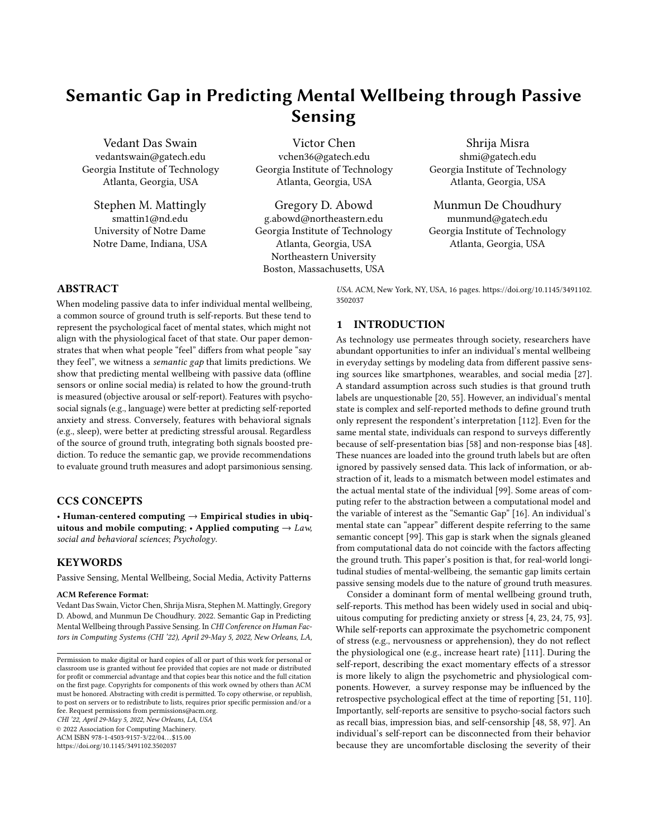<span id="page-10-0"></span>

Figure 8: Comparison between best models of different modalities (RQ2)

with  $M^*_{\rho a}$  we find that a random forest regressor at a window length of  $d = 13$  yielded the best result of *Pearson's*  $r = 0.69$ . Compared to the large boost we observed in predicting self-reports, adding social signals to predict objective measurements only augmented  $M_{DA}$ (Pearson's r is <sup>0</sup>:63) by only 9%. While this is still noticeable, we believe the improvement is limited by the nature of the additional signal (psycho-social) in comparison to the representation that is being predicted (physiological). Therefore, although additional features can lead to some increment in performance, large boosts can be achieved when a model is augmented by semantically similar features (Section [5.1.3\)](#page-8-1).

<span id="page-10-1"></span>5.2.3 Interpretation. The findings for predicting high arousal duration support our hypotheses towards the second research question, which speculates a reduction of the semantic gap in predicting objective measures of wellbeing by modeling features with behavioral signals (Figure [8\)](#page-10-0). This question was proposed to provide divergent validity to the first question and reinforce the quantitative data triangulation method of validation [\[36\]](#page-13-8). As discussed in Section [2.4,](#page-3-0) the physiological aspects of wellbeing can often be independent of what individuals report [\[51\]](#page-14-4). It can be subject to inherent beliefs, other subjective factors, and confounding mental phenomena [\[101\]](#page-15-13). On the other hand, the physiological experience of the individual remains consistent. Furthermore, the physical behaviors of an individual are coupled with physiological responses to wellbeing constructs like stress. For example, increased activity can reduce arousal by expending energy [\[83\]](#page-14-6), while reduced sleep can be the result of increased arousal [\[86\]](#page-14-7). This kind of information is challenging for passive sensing through online traces to perceive as people only present a part of their selves on such platforms. Accordingly,  $M<sub>DA</sub>$  performed better in this regard due because offline modalities that continuously capture an individual's functioning can illustrate richer representations of their behavior.

## 5.3 Participant-Independent Models

The models described in Section [5.1](#page-8-2) and [5.2](#page-9-4) were validated by using some observations in the training folds while others are used in testing folds (each participant had an average of 33 days of data). Such

approaches, known as "mixed-model" or "personalized-model", account for individualized routine and trait-like propensities to predict the target variable. These have been used in prior works in longitudinal sensing with smartphone data [\[32,](#page-13-35) [107\]](#page-15-22) and social media data [\[22\]](#page-13-36). An alternative approach to modeling sensor data is with participant-independent models which treat testing data as entirely unseen participants. These are expected to generalize better to new participant data. To inquire our hypotheses with this approach we first performed a participant-independent 5-fold crossvalidation. We followed the same feature processing described in Section [4.2,](#page-7-3) with the only difference being that  $M_{\rm \sff}$  performed better without any additional mutual information based feature selection (Section [4.2.3\)](#page-7-4). For H1, we found that the best model for  $M_{\text{S}m}$  significantly estimated both self-reported anxiety (Pearson's r = 0:15 with XGBoost when  $d = 180$ ) and stress (*Pearson's r* = 0:08 with Random Forest when  $d = 90$ ). In contrast, however,  $M_{DA}$  models did not significantly estimate the ground truth at all (Pearson's  $r= 0:02$  for anxiety and *Pearson's*  $r= 0:02$  for stress). For H2, the best model for  $M_{DA}$  significantly estimated high arousal duration (Pearson's  $r= 0.52$  with XGBoost when  $d = 1$ ), whereas the best performance for  $M_{\text{S}}$  did not show significant correlation (*Pearson's*  $r= 0:03$ ). Further, we also performed a leave-one-participant-out validation for both hypotheses. Again for H1, we found that only  $M<sub>sm</sub>$  could significantly estimate self-reported anxiety (Pearson's  $r= 0:08$  with XGBoost when  $d = 30$ ) and stress (*Pearson's*  $r= 0:07$ with XGBoost when  $d = 30$ ). Similarly, for H2, only  $M_{pa}$  significantly estimated high arousal duration (Pearson's r<sup>=</sup> <sup>0</sup>:<sup>52</sup> with Gradient Boost when  $d = 1$ ). Even though the performance of person-independent models was lower than the personalized ones (as shown in similar studies [\[32,](#page-13-35) [107\]](#page-15-22)), we still found that these models demonstrated a persistent semantic gap. Table [7](#page-11-0) summarizes the comparison between  $M_{pa}$  and  $M_{sm}$  for the different hypotheses.

## 6 DISCUSSION

The findings of the paper reveal the presence of the semantic gap in studies to infer mental wellbeing. This is not meant to discourage research in this space, but to highlight the untapped potential of these studies. For instance, our post-hoc analyses in Section [5.1.3](#page-8-1) and [5.2.2](#page-9-5) illustrated that models improve by incorporating features reflecting social signals. To this end, we propose a set of guidelines for researchers in social and ubiquitous computing, who plan to conduct passive sensing studies to infer mental wellbeing.

# 6.1 Ground Truth Matters

In studies of mental wellbeing, even with validated instruments to assess ground truth, researchers need to consider how this ground truth represents or abstracts the underlying mental wellbeing construct (psychological or physiological). Consequently, researchers must account for the different factors that affect these representations (e.g., social biases or behavioral artifacts) to get optimal results.

Our results show that the presence of a semantic gap reflects a mismatch between what computational models represent and what different ground truth represent for the same mental wellbeing state. That said, the paper's findings are not intended to entirely disregard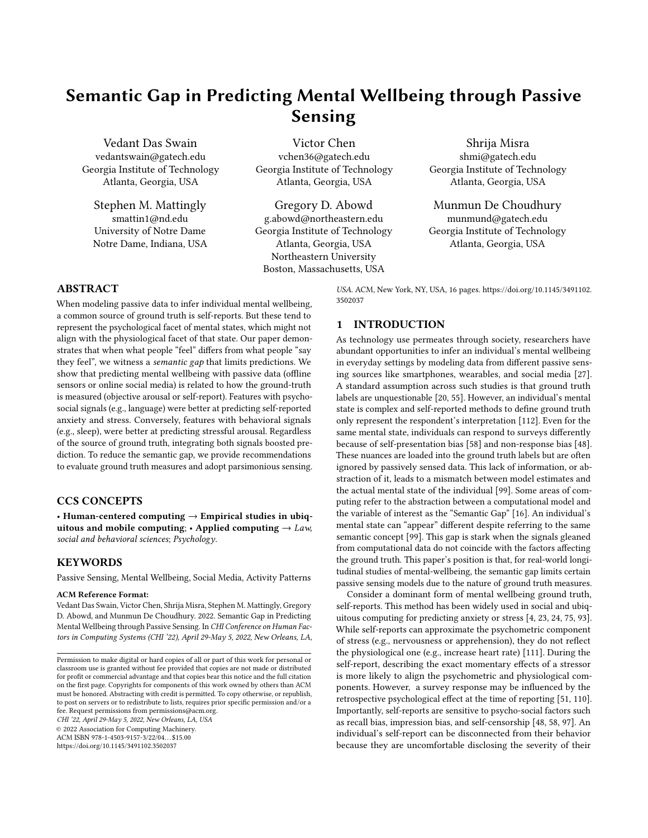Table 7: Summary of best models for participant independent models.  $('$ -':p < 1, ':p < 0:1, '\*':p < 0:05, '\*\*':p < 0:01, '\*\*\*':p < 0:001)

<span id="page-11-0"></span>

|                  |                              | 5-Fold CV |              |            | LOPO CV   |              |                 |
|------------------|------------------------------|-----------|--------------|------------|-----------|--------------|-----------------|
|                  | Ground Truth Measure         | $M_{DA}$  | $M_{\rm sm}$ | $M_{pa}^*$ | $M_{DA}$  | $M_{\rm sm}$ | $M_{Da}^{\ast}$ |
| H <sub>1</sub> a | Self-Reported Anxiety        | $0:02-$   | $0:15***$    | $0.02 -$   | $0:02-$   | $0:08***$    | $0.02 -$        |
| H1b              | Self-Reported Stress         | $0:02-$   | $0:08**$     | $0.02 -$   | $0:02-$   | $0:07**$     | $0.02 -$        |
| H <sub>2</sub>   | <b>High Arousal Duration</b> | $0:52***$ | $0:03-$      | $0.55***$  | $0:52***$ | $0:03-$      | $0.55***$       |

certain sensors, family of features, or instruments for ground truth. On the contrary, the primary motivation of this paper is to bring to attention the nuances of ground truth measurements and what they represent. Specifically, this paper demonstrates how the ground truth labels are merely an abstraction of the actual mental wellbeing state and reflect limited aspects of it [\[36,](#page-13-8) [112\]](#page-15-1). Since measurements of anxiety or stress can be influenced by unseen factors [\[20,](#page-13-1) [54,](#page-14-13) [58,](#page-14-1) [97\]](#page-15-6), features that encapsulate, or are associated with, analogous factors are more suitable to explain that form of ground truth. For instance, we find that modeling social media is better than modeling physical activities to predict self-reported measurements of both anxiety and stress (Section [5.1\)](#page-8-2). However, this is not the case when using the same approaches to predict objective arousal-based measurements (Section [5.2\)](#page-9-4). It is not that certain modalities are more effective at explaining the mental state itself, but in fact, they are more capable at inferring that representation of the underlying mental state (Sec [5.1.4](#page-8-3) and Sec [5.2.3\)](#page-10-1).

From the perspective of computer scientists, the ground truth is considered an unquestionable "gold standard". The literature has discussed several challenges to passive sensing [\[49\]](#page-14-36), such as choice of device, application, duration, and sampling rate. Our findings extend this list with a focus on ground truth representations. This paper demonstrates a case that urges conscious consideration of the ground truth's sensitivity to ecological factors. Many studies in the community tend to acquire ground truth in situ [\[20,](#page-13-1) [69,](#page-14-23) [88,](#page-14-12) [108\]](#page-15-15) but it distances the researchers from carefully observing the circumstances of ground truth measurement. In reference to the uncertainty of ground truth labels, [Plötz'](#page-14-37)s third postulate for machinelearning on sensor data states, "there is no ground truth" [\[80\]](#page-14-37). We situate this in the context of passively inferring mental wellbeing. Do participants respond to anxiety questions immediately after stressful incidents or do they summarize the experience of their day? Do they actually report how they felt or are their responses describing the state they wanted to be in? These concerns are not only challenging to quantify but also opaque to researchers and sensors [\[20\]](#page-13-1). However, acknowledging the semantic gap can help researchers diagnose model performance by determining the mismatch between their sensor features and their ground truth representation.

While self-reports remain a mainstay for measuring mental wellbeing constructs like anxiety and stress, many studies in mHealth have posited alternative measures. [Hovsepian et al.,](#page-14-15) proposed a new measure of stress in the wild, which involves a wearable device consisting of multiple biomedical sensors [\[52\]](#page-14-15). They found this measure to be a strong estimator of self-reported stress in the moment. Sometimes, physiological changes might not be captured in self-reports[\[51\]](#page-14-4), but it is still valuable to characterize stressful

episodes [\[94\]](#page-15-28). Prior work has provided evidence for these signals to trigger effective wellbeing interventions in field studies (e.g., heart-rate [\[47\]](#page-14-38) and breathing [\[44\]](#page-13-37)). Even though mental wellbeing constructs remain fairly subjective with respect to how they are experienced, perceived and eventually recorded [\[45\]](#page-13-38), every kind of measurement is sensitive to different factors. For example, objective markers of physiological changes can vary with motion artifacts [\[52\]](#page-14-15) and self-reports of psychological changes often obscure low-level details of the stressful episode [\[45\]](#page-13-38). The presence of the semantic gap revealed in this work is meant to urge researchers to assess the imperceptible aspects of their ground truth measure while trying computational approaches to predict such constructs.

#### 6.2 Parsimonious Sensing

For practical field deployments, the changing sociotechnical landscape affects resource availability and privacy perceptions, which can limit researchers from conducting brute-force passive sensor studies with multiple complementary streams. Therefore, researchers should determine the smallest set of streams that are semantically the most representative of the ground truth measure. Less is more if studies select sensors that provide features that reduce the semantic gap in predictions.

As new sensing platforms become commercialized and other interfaces like social media become abundant, researchers have a plethora of means to digitally infer their mental wellbeing. One approach to mitigate the semantic gap is to capture more ecological information that can help explain the high-level processes that influence the ground truth. What is evident from this paper is that a single sensor stream is typically not robust enough to represent the different types of variability in ground truth. While offline sensors are skewed to represent behavioral changes ( $M_{pq}$ ), online logs of virtual presence are better suited to represent social effects ( $M_{\text{S}}$ m). Therefore, a natural argument to reduce the gap between input features and target construct would be to deploy more sensors and track logs from multiple sources. In fact, combining multimodal features together can elicit new context-specific features [\[89,](#page-14-39) [116\]](#page-15-29). However, multimodal studies are challenging to deploy in the wild [\[69,](#page-14-23) [74,](#page-14-11) [81,](#page-14-27) [87\]](#page-14-24), as they are expensive in terms of both instrumentation and recruitment. Moreover, additional sensors to capture the "reality" of a participant can introduce privacy concerns and generally overwhelm their experience [\[15,](#page-13-39) [84\]](#page-14-40). Instead, our findings suggest an alternative position to pursue parsimonious sensor deployments, or to make the most of limited resources to appropriately sense mental wellbeing constructs. We are inspired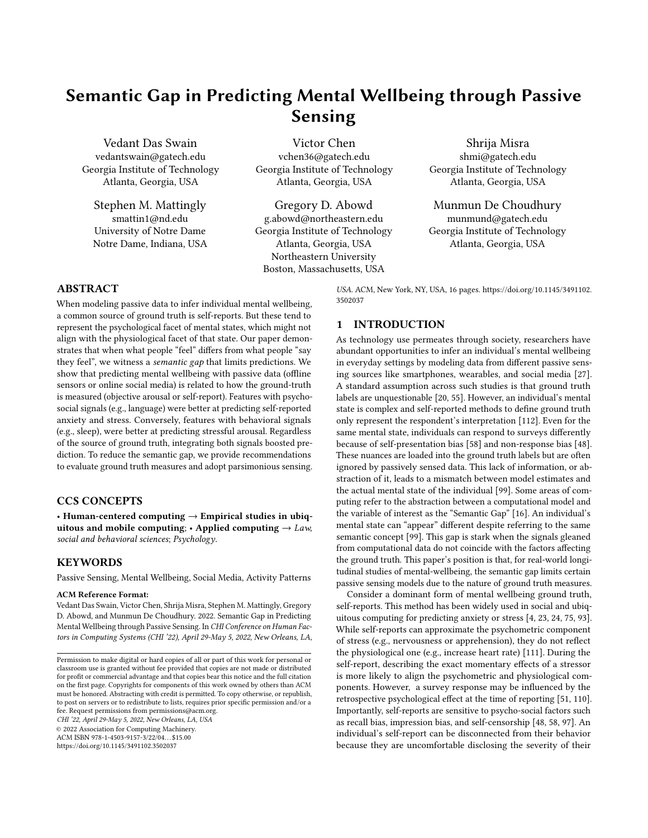by [Plötz'](#page-14-37)s fifth postulate, "data rule, models serve" [\[80\]](#page-14-37). For instance, if deployments intend to measure ground truth through self-reports and researchers do not have access explicit sources of social signals (such as online activity or conversations), researchers should try to accommodate for social effects in offline sensors (as demonstrated by the Bluetooth beacons used in  $M^*_{\rho a}$  in Section [5.1.3\)](#page-8-1). Alternatively, if the study plans to estimate wellbeing with physiological changes then resources should be allocated to sense behavioral markers, such as movement and sleep. The existence of a semantic gap supports the idea of minimal sensing to predict wellbeing in comparison to conventional ideas of massive sensing. Thus, our paper demonstrates realistic approaches to adhere to paradigms like "small data" in (critical) data science [\[15,](#page-13-39) [60\]](#page-14-41) and passive sensing [\[40\]](#page-13-40), and the Occam's razor metaphor for parsimony in machine learning [\[33\]](#page-13-41)

In the meanwhile, more sophisticated methods to identify markers for mental wellbeing from passively sensed computational data have emerged [\[70\]](#page-14-42). Arguably, better feature crafting can help reduce this gap even with the same set of sensors. In this regard, the semantic gap serves two functions. First, it provides a guiding rail to engineer features based on domain-driven aspects of mental wellbeing ground truth. Second, it provides interpretability to models by encouraging researchers to inquire if their features capture psychological or physiological aspects of wellbeing. Moreover, the presence of a semantic gap calls into question the objectivity of machine learning/data mining to generate inferences. Since unobtrusive sensing can capture vast amounts of information, engineering this data can often yield spurious connections with the target variable [\[15\]](#page-13-39). The findings of this paper encourage more critical investigations of computational models to arrive at theoretically meaningful interpretations. Researchers need to resist the allure of viewing more passive data as a Maslow's golden hammer  $[68]$  - a tool to solve any problem. Over-engineering the "hammer" can result in finding spurious associations in the data [\[15,](#page-13-39) [43\]](#page-13-42). For example, does sensing physical behaviors actually predict stress holistically or does it merely describe its physiological aspects? Conversely, does tracing online content explain what an individual experiences or does it only reflect how they project themselves? Similar to other works that critique, yet advocate, employing machine learning for health and wellbeing [\[13,](#page-13-43) [36\]](#page-13-8), this paper encourages researchers employing passive sensing to build models with deeper consideration of the domain and select sensors accordingly to avoid misrepresenting seemingly objective results.

## 6.3 Limitations and Future Work

Although this paper provides evidence of a semantic gap in predicting wellbeing, it is only a case study specific to a particular dataset. Having said that, we believe this phenomenon can be observed in other datasets with diverse multimodal sensing streams and different sources of ground truth. In practice, such studies are challenging to implement and very few datasets with the required richness exist at the time of writing. The central concept of the paper is fundamental to other computing fields [\[50,](#page-14-8) [99\]](#page-15-2) and our findings align with those notions of information loss in computational representations of human concepts — in this case, constructs of mental wellbeing. Relatedly, this paper only investigates two specific constructs of

wellbeing, anxiety, and stress, which are also linked. While both of these are associated with many other states and constructs, an individual's wellbeing has many other components that are independent of anxiety and stress. Despite this, the implication, that the nature of ground truth can inform the choice of passive data collected, applies to other constructs of wellbeing that are vulnerable to differential interpretation because of measurement instruments (psychological or physiological).

To address the research questions, the paper models sensor data to explain daily wellbeing states over a period of time. Therefore, at its current stage, the findings are limited to dynamic constructs of wellbeing, such as state anxiety and perceived stress (as well as arousal). These constructs are expected to vary within short periods and tightly coupled with ecological changes. However, many studies use passive sensing to predict trait-based mental wellbeing constructs, such as social anxiety [\[14\]](#page-13-44). Since our work is motivated by the ground truth acquisition in the moment, the implications might be directly transferable to other predictions of wellbeing. This creates an opportunity for further investigating the possibility of a semantic gap in studies where the target construct is assessed in a lab setting or collected once during enrollment.

Lastly, these results support additional studies regarding the validity of in situ methods to collect ground truth. In particular, subsequent work can explore the contexts within which the selfreported ground truth is robust and the semantic gap becomes trivial, or tolerable. As a result, researchers can scrutinize the quality of their ground truth collection. In turn, the machine learning models built with passive data can be trained only on reliable or invariant measurements.

#### 7 CONCLUSION

Mental wellbeing is a complex phenomenon that different measurements of ground truth can interpret it in varying ways. For instance, anxiety and stress are constructs that manifest both psychologically and physiologically. This paper is motivated to investigate a semantic gap in commonly used pervasive sensing methods to predict such wellbeing constructs. By applying the triangulation methodology this paper demonstrates evidence that based on the ground truth of mental wellbeing, certain types of passively sensed features are more skewed to explaining it. Particularly, features with social signals  $(M_{5m})$ , have a smaller semantic gap with selfreported wellbeing. By contrast, predictive modalities with physical signals ( $M<sub>p</sub>a$ ), have a smaller semantic gap with physiological measures of wellbeing, such as arousal. This study exposes how the gap in sensing streams and the ground truth affects predictions. The implications of this semantic gap inform passive sensing studies, particularly with respect to the nature of the ground truth and the choice of sensing for practical deployments.

#### ACKNOWLEDGMENTS

This research was supported in part by the Office of the Director of National Intelligence (ODNI), Intelligence Advanced Research Projects Activity (IARPA), via IARPA Contract No. 2017- 17042800007. The contents of this paper do not necessarily represent the official policies, either expressed or implied, of ODNI, IARPA, or the U.S. Government. The U.S. Government is authorized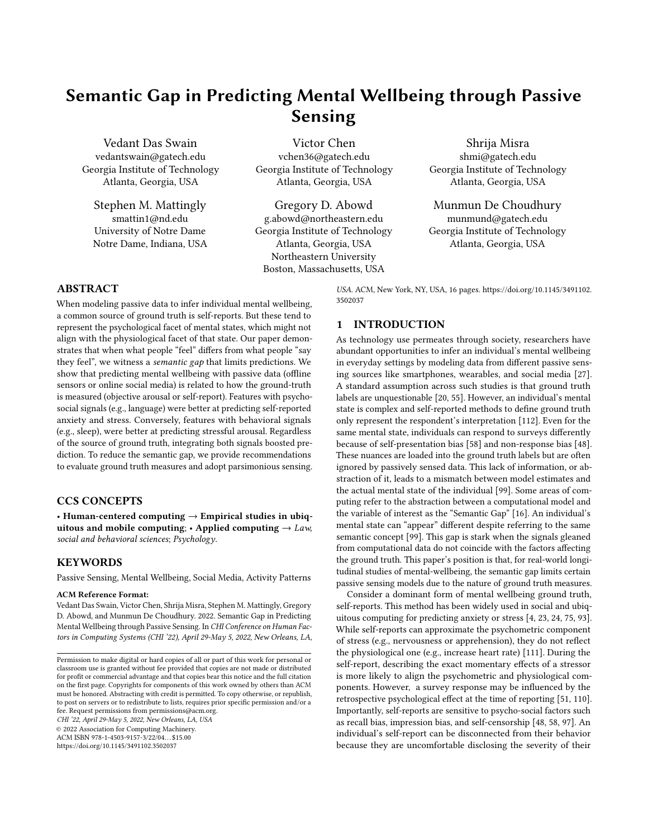to reproduce and distribute reprints for governmental purposes notwithstanding any copyright annotation therein. We thank the Tesserae team for their support in enabling our investigation. Additionally, we are grateful to the members of the Social Dynamics & Wellbeing lab and the Ubiquitous Computing Group at Georgia Institute of Technology for their assistance, guidance, and feedback.

#### REFERENCES

- <span id="page-13-15"></span>[1] Leona S Aiken and Stephen G West. 1990. Invalidity of true experiments: Self-report pretest biases. Evaluation review 14, 4 (1990), 374–390.
- <span id="page-13-33"></span>[2] Antti Airola, Tapio Pahikkala, Willem Waegeman, Bernard De Baets, and Tapio Salakoski. 2011. An experimental comparison of cross-validation techniques for estimating the area under the ROC curve. Computational Statistics & Data Analysis 55, 4 (2011), 1828–1844.
- <span id="page-13-28"></span>[3] Saima Aman and Stan Szpakowicz. 2008. Using roget's thesaurus for fine-grained emotion recognition. In Proceedings of the Third International Joint Conference on Natural Language Processing: Volume-I. Asian Federation of Natural Language Processing, 312–318.
- <span id="page-13-3"></span>[4] Silvio Amir, Glen Coppersmith, Paula Carvalho, Mario J Silva, and Byron C Wallace. 2017. Quantifying mental health from social media with neural user embeddings. arXiv preprint arXiv:1705.00335 (2017).
- <span id="page-13-34"></span>[5] Aris Anagnostopoulos, Ravi Kumar, and Mohammad Mahdian. 2008. Influence and correlation in social networks. In Proceedings of the 14th ACM SIGKDD international conference on Knowledge discovery and data mining. ACM, 7–15.
- <span id="page-13-20"></span>[6] Mark H Anshel. 1996. Effect of chronic aerobic exercise and progressive relaxation on motor performance and affect following acute stress. Behavioral Medicine 21, 4 (1996), 186–196.
- <span id="page-13-25"></span>[7] Activity Recognition API. 2018. [https://developers.google.com/location-context/](https://developers.google.com/location-context/activity-recognition/) [activity-recognition/.](https://developers.google.com/location-context/activity-recognition/) Accessed: 2018-11-01.
- <span id="page-13-17"></span>Garmin Health API. 2018. [http://developer.garmin.com/health-api/overview/.](http://developer.garmin.com/health-api/overview/) Accessed: 2018-11-01.
- <span id="page-13-26"></span>[9] Manager REST API. 2018. [https://docs.gimbal.com/rest.html.](https://docs.gimbal.com/rest.html) Accessed: 2018- 11-01.
- <span id="page-13-9"></span>[10] Dror Ben-Zeev, Emily A Scherer, Rui Wang, Haiyi Xie, and Andrew T Campbell. 2015. Next-generation psychiatric assessment: Using smartphone sensors to monitor behavior and mental health. Psychiatric rehabilitation journal 38, 3 (2015), 218.
- <span id="page-13-18"></span>[11] Stuart JH Biddle and Kenneth R Fox. 2003. The way forward for physical activity and the promotion of psychological well-being. In Physical activity and psychological well-being. Routledge, 166–173.
- <span id="page-13-27"></span>[12] Mehrab Bin Morshed, Koustuv Saha, Richard Li, Sidney K. D'Mello, Munmun De Choudhury, Gregory D Abowd, and Thomas Plötz. 2019. Prediction of Mood Instability with Passive Sensing. Proceedings of the ACM on Interactive, Mobile, Wearable and Ubiquitous Technologies 3, 3 (2019).
- <span id="page-13-43"></span>[13] Daniel Bone, Matthew S Goodwin, Matthew P Black, Chi-Chun Lee, Kartik Audhkhasi, and Shrikanth Narayanan. 2015. Applying machine learning to facilitate autism diagnostics: pitfalls and promises. Journal of autism and developmental disorders 45, 5 (2015), 1121–1136.
- <span id="page-13-44"></span>[14] Mehdi Boukhechba, Yu Huang, Philip Chow, Karl Fua, Bethany A Teachman, and Laura E Barnes. 2017. Monitoring social anxiety from mobility and communication patterns. In Proceedings of the 2017 ACM International Joint Conference on Pervasive and Ubiquitous Computing and Proceedings of the 2017 ACM International Symposium on Wearable Computers. ACM, 749–753.
- <span id="page-13-39"></span>[15] Danah Boyd and Kate Crawford. 2012. Critical questions for big data: Provocations for a cultural, technological, and scholarly phenomenon. Information, communication  $\&$  society 15, 5 (2012), 662-679.
- <span id="page-13-2"></span>[16] Louis Bucciarelli. 2003. Engineering philosophy. DUP Satellite; an imprint of Delft University Press.
- <span id="page-13-10"></span>[17] Michelle Nicole Burns, Mark Begale, Jennifer Duffecy, Darren Gergle, Chris J Karr, Emily Giangrande, and David C Mohr. 2011. Harnessing context sensing to develop a mobile intervention for depression. Journal of medical Internet research 13, 3 (2011), e55.
- <span id="page-13-14"></span>[18] Andrew T Campbell, Shane B Eisenman, Nicholas D Lane, Emiliano Miluzzo, and Ronald A Peterson. 2006. People-centric urban sensing. In Proceedings of the 2nd annual international workshop on Wireless internet. ACM, 18.
- <span id="page-13-11"></span>[19] Luca Canzian and Mirco Musolesi. 2015. Trajectories of depression: unobtrusive monitoring of depressive states by means of smartphone mobility traces analysis. In Proceedings of the 2015 ACM international joint conference on pervasive and ubiquitous computing. ACM, 1293–1304.
- <span id="page-13-1"></span>[20] Larry Chan, Vedant Das Swain, Christina Kelley, Kaya de Barbaro, Gregory D Abowd, and Lauren Wilcox. 2018. Students' Experiences with Ecological Momentary Assessment Tools to Report on Emotional Well-being. Proceedings of the ACM on Interactive, Mobile, Wearable and Ubiquitous Technologies 2, 1 (2018), 3.
- <span id="page-13-32"></span>[21] Tianqi Chen, Tong He, Michael Benesty, Vadim Khotilovich, and Yuan Tang. 2015. Xgboost: extreme gradient boosting. R package version 0.4-2 (2015), 1–4.
- <span id="page-13-36"></span>[22] Farhan Asif Chowdhury, Yozen Liu, Koustuv Saha, Nicholas Vincent, Leonardo Neves, Neil Shah, and Maarten W Bos. 2021. Modeling Cyclic and Ephemeral User Behavior on Social Platforms. In Proceedings of the International AAAI Conference on Web and Social Media.
- <span id="page-13-4"></span>[23] Matteo Ciman and Katarzyna Wac. 2016. Individuals' stress assessment using human-smartphone interaction analysis. IEEE Transactions on Affective Computing 9, 1 (2016), 51–65.
- <span id="page-13-5"></span>[24] Glen Coppersmith, Craig Harman, and Mark Dredze. 2014. Measuring post traumatic stress disorder in Twitter. In Eighth international AAAI conference on weblogs and social media.
- <span id="page-13-7"></span>[25] Sauvik Das and Adam Kramer. 2013. Self-censorship on Facebook. In Seventh international AAAI conference on weblogs and social media.
- <span id="page-13-21"></span>[26] Vedant Das Swain, Manikanta D. Reddy, Kari Anne Nies, Louis Tay, Munmun De Choudhury, and Gregory D. Abowd. 2019. Birds of a Feather Clock Together: A Study of Person–Organization Fit Through Latent Activity Routines. Proc. ACM Hum.-Comput. Interact CSCW (2019).
- <span id="page-13-0"></span>[27] Vedant Das Swain, Koustuv Saha, Gregory D Abowd, and Munmun De Choudhury. 2020. Social Media and Ubiquitous Technologies for Remote Worker Wellbeing and Productivity in a Post-Pandemic World. In 2020 IEEE Second International Conference on Cognitive Machine Intelligence (CogMI). IEEE, 121–130.
- <span id="page-13-22"></span>[28] Heather M Davey, Alexandra L Barratt, Phyllis N Butow, and Jonathan J Deeks. 2007. A one-item question with a Likert or Visual Analog Scale adequately measured current anxiety. Journal of clinical epidemiology 60, 4 (2007), 356–360.<br>Firstbeat Analytics All day Stress & Recovery. 2021. https://www.
- <span id="page-13-23"></span>[29] Firstbeat Analytics All day Stress & Recovery. 2021. [firstbeatanalytics.com/en/features/all-day-stress-recovery/.](https://www.firstbeatanalytics.com/en/features/all-day-stress-recovery/) (2021).
- <span id="page-13-12"></span>[30] Munmun De Choudhury, Michael Gamon, Scott Counts, and Eric Horvitz. 2013. Predicting depression via social media. In Seventh international AAAI conference on weblogs and social media.
- <span id="page-13-29"></span>[31] Norman K Denzin. 2012. Triangulation 2.0. Journal of mixed methods research 6, 2 (2012), 80–88.
- <span id="page-13-35"></span>[32] Trinh Minh Tri Do and Daniel Gatica-Perez. 2014. Where and what: Using smartphones to predict next locations and applications in daily life. Pervasive and Mobile Computing 12 (2014), 79–91.
- <span id="page-13-41"></span>[33] Pedro Domingos. 1998. Occam's two razors: The sharp and the blunt. In KDD. 37–43.
- <span id="page-13-19"></span>[34] Jon D Elhai, Robert D Dvorak, Jason C Levine, and Brian J Hall, 2017, Problematic smartphone use: A conceptual overview and systematic review of relations with anxiety and depression psychopathology. Journal of affective disorders 207 (2017), 251–259.
- <span id="page-13-31"></span>[35] Jane Elith, John R Leathwick, and Trevor Hastie. 2008. A working guide to boosted regression trees. Journal of Animal Ecology 77, 4 (2008), 802–813.
- <span id="page-13-8"></span>[36] Sindhu Kiranmai Ernala, Michael L Birnbaum, Kristin A Candan, Asra F Rizvi, William A Sterling, John M Kane, and Munmun De Choudhury. 2019. Methodological gaps in predicting mental health states from social media: Triangulating diagnostic signals. In Proceedings of the 2019 CHI Conference on Human Factors in Computing Systems. ACM, 134.
- <span id="page-13-6"></span>[37] Sindhu Kiranmai Ernala, Tristan Labetoulle, Fred Bane, Michael L Birnbaum, Asra F Rizvi, John M Kane, and Munmun De Choudhury. 2018. Characterizing audience engagement and assessing its impact on social media disclosures of mental illnesses. In Twelfth International AAAI Conference on Web and Social Media.
- <span id="page-13-30"></span>[38] Sindhu Kiranmai Ernala, Asra F Rizvi, Michael L Birnbaum, John M Kane, and Munmun De Choudhury. 2017. Linguistic markers indicating therapeutic outcomes of social media disclosures of schizophrenia. Proceedings of the ACM on Human-Computer Interaction 1, CSCW (2017), 43.
- <span id="page-13-24"></span>[39] Emre Ertin, Nathan Stohs, Santosh Kumar, Andrew Raij, Mustafa Al'Absi, and Siddharth Shah. 2011. AutoSense: unobtrusively wearable sensor suite for inferring the onset, causality, and consequences of stress in the field. In Proceedings of the 9th ACM Conference on Embedded Networked Sensor Systems. 274–287.
- <span id="page-13-40"></span>[40] Deborah Estrin. 2014. Small data, where n= me. Commun. ACM 57, 4 (2014), 32–34.
- <span id="page-13-16"></span>[41] George S Everly and Jeffrey M Lating. 2019. The anatomy and physiology of the human stress response. In A clinical guide to the treatment of the human stress response. Springer, 19–56.
- <span id="page-13-13"></span>[42] Raihana Ferdous, Venet Osmani, and Oscar Mayora. 2018. Smartphone apps usage patterns as a predictor of perceived stress levels at workplace. arXiv preprint arXiv:1803.03863 (2018).
- <span id="page-13-42"></span>[43] Kenneth R Foster, Robert Koprowski, and Joseph D Skufca. 2014. Machine learning, medical diagnosis, and biomedical engineering research-commentary. Biomedical engineering online 13, 1 (2014), 94.
- <span id="page-13-37"></span>[44] Asma Ghandeharioun and Rosalind Picard. 2017. BrightBeat: effortlessly influencing breathing for cultivating calmness and focus. In Proceedings of the 2017 CHI Conference Extended Abstracts on Human Factors in Computing Systems. ACM, 1624–1631.
- <span id="page-13-38"></span>[45] Martin Gjoreski, Mitja Luštrek, Matjaž Gams, and Hristijan Gjoreski. 2017. Monitoring stress with a wrist device using context. Journal of biomedical informatics 73 (2017), 159–170.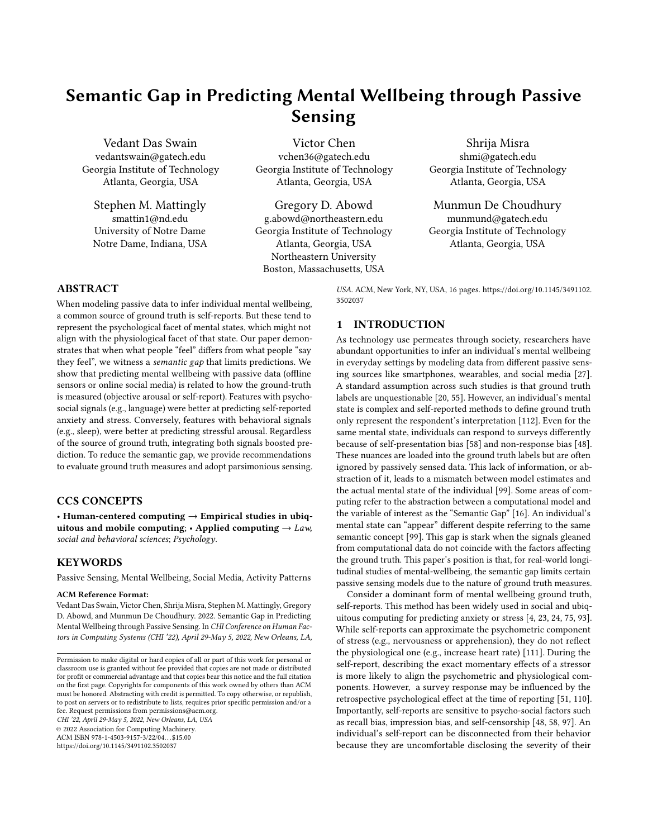- <span id="page-14-18"></span>[46] Erving Goffman et al. 1978. The presentation of self in everyday life. Harmondsworth London.
- <span id="page-14-38"></span>[47] Mathew J Gregoski, Alexey Vertegel, Aleksey Shaporev, and Frank A Treiber. 2013. Tension Tamer: delivering meditation with objective heart rate acquisition for adherence monitoring using a smart phone platform. The Journal of Alternative and Complementary Medicine 19, 1 (2013), 17–19.
- <span id="page-14-2"></span>[48] Robert M Groves and Emilia Peytcheva. 2008. The impact of nonresponse rates on nonresponse bias: a meta-analysis. Public opinion quarterly 72, 2 (2008), 167–189.
- <span id="page-14-36"></span>[49] Gabriella M Harari, Nicholas D Lane, Rui Wang, Benjamin S Crosier, Andrew T Campbell, and Samuel D Gosling. 2016. Using smartphones to collect behavioral data in psychological science: Opportunities, practical considerations, and challenges. Perspectives on Psychological Science 11, 6 (2016), 838–854.
- <span id="page-14-8"></span>[50] Jonathon S Hare, Paul H Lewis, Peter GB Enser, and Christine J Sandom. 2006. Mind the gap: another look at the problem of the semantic gap in image retrieval. In Multimedia Content Analysis, Management, and Retrieval 2006, Vol. 6073. International Society for Optics and Photonics, 607309.
- <span id="page-14-4"></span>[51] Juliane Hellhammer and Melanie Schubert. 2012. The physiological response to Trier Social Stress Test relates to subjective measures of stress during but not before or after the test. Psychoneuroendocrinology 37, 1 (2012), 119–124.
- <span id="page-14-15"></span>[52] Karen Hovsepian, Mustafa al'Absi, Emre Ertin, Thomas Kamarck, Motohiro Nakajima, and Santosh Kumar. 2015. cStress: towards a gold standard for continuous stress assessment in the mobile environment. In Proceedings of the 2015 ACM international joint conference on pervasive and ubiquitous computing. ACM, 493–504.
- <span id="page-14-16"></span>[53] John A Johnson. 1981. The" self-disclosure" and" self-presentation" views of item response dynamics and personality scale validity. Journal of Personality and Social Psychology 40, 4 (1981), 761.
- <span id="page-14-13"></span>[54] Timothy P Johnson and Fons JR Van de Vijver. 2003. Social desirability in cross-cultural research. Cross-cultural survey methods 325 (2003), 195–204.
- <span id="page-14-0"></span>[55] Victor Jupp. 2006. The Sage dictionary of social research methods. Sage
- <span id="page-14-29"></span>[56] Alexandra Kavushansky, Dorit Ben-Shachar, Gal Richter-Levin, and Ehud Klein. 2009. Physical stress differs from psychosocial stress in the pattern and time-course of behavioral responses, serum corticosterone and expression of plasticity-related genes in the rat. Stress 12, 5 (2009), 412–425.
- <span id="page-14-31"></span>[57] Gina Leigh Kraft and Rachel A Roberts. 2017. Validation of the Garmin Forerunner 920 XT Fitness Watch VO 2 peak Test. Int. J. Innov. Educ. Res 5 (2017), 62–67.
- <span id="page-14-1"></span>[58] Ivar Krumpal. 2013. Determinants of social desirability bias in sensitive surveys: a literature review. Quality & Quantity 47, 4 (2013), 2025–2047.
- <span id="page-14-17"></span>[59] Vivienne MHCJ Lahaut, Harrie AM Jansen, Dike Van de Mheen, and Henk FL Garretsen. 2002. Non-response bias in a sample survey on alcohol consumption. Alcohol and Alcoholism 37, 3 (2002), 256–260.
- <span id="page-14-41"></span>[60] David Lazer and Jason Radford. 2017. Data ex machina: introduction to big data. Annual Review of Sociology 43 (2017), 19–39.
- <span id="page-14-30"></span>[61] Eun-Hyun Lee. 2012. Review of the psychometric evidence of the perceived stress scale. Asian nursing research 6, 4 (2012), 121–127.
- <span id="page-14-20"></span>[62] Uichin Lee, Joonwon Lee, Minsam Ko, Changhun Lee, Yuhwan Kim, Subin Yang, Koji Yatani, Gahgene Gweon, Kyong-Mee Chung, and Junehwa Song. 2014. Hooked on smartphones: an exploratory study on smartphone overuse among college students. In Proceedings of the 32nd annual ACM conference on Human factors in computing systems. ACM, 2327–2336.
- <span id="page-14-28"></span>[63] Aubrey Lewis. 1970. The ambiguous word" anxiety". International journal of psychiatry 9 (1970), 62–79.
- <span id="page-14-34"></span>[64] Andy Liaw, Matthew Wiener, et al. 2002. Classification and regression by randomForest. R news 2, 3 (2002), 18–22.
- <span id="page-14-9"></span>[65] Huijie Lin, Jia Jia, Quan Guo, Yuanyuan Xue, Qi Li, Jie Huang, Lianhong Cai, and Ling Feng. 2014. User-level psychological stress detection from social media using deep neural network. In Proceedings of the 22nd ACM international conference on Multimedia. ACM, 507–516.
- <span id="page-14-33"></span>[66] Christopher Manning, Mihai Surdeanu, John Bauer, Jenny Finkel, Steven Bethard, and David McClosky. 2014. The Stanford CoreNLP natural language processing toolkit. In Proceedings of 52nd annual meeting of the association for computational linguistics: system demonstrations. 55–60.
- <span id="page-14-26"></span>[67] Gloria Mark, Shamsi Iqbal, Mary Czerwinski, and Paul Johns. 2014. Capturing the mood: facebook and face-to-face encounters in the workplace. In Proceedings of the 17th ACM conference on Computer supported cooperative work & social computing. ACM, 1082–1094.
- <span id="page-14-43"></span>[68] Abraham H Maslow. 1966. The psychology of science a reconnaissance. (1966).
- <span id="page-14-23"></span>[69] Stephen M. Mattingly, Julie M. Gregg, Pino Audia, Ayse Elvan Bayraktaroglu, Andrew T. Campbell, Nitesh V. Chawla, Vedant Das Swain, Munmun De Choudhury, Sidney K. D'Mello, Anind K. Dey, Ge Gao, Krithika Jagannath, Kaifeng Jiang, Suwen Lin, Qiang Liu, Gloria Mark, Gonzalo J. Martinez, Kizito Masaba, Shayan Mirjafari, Edward Moskal, Raghu Mulukutla, Kari Nies, Manikanta D. Reddy, Pablo Robles-Granda, Koustuv Saha, Anusha Sirigiri, and Aaron Striegel. 2019. The Tesserae Project: Large-Scale, Longitudinal, In Situ, Multimodal Sensing of Information Workers. In Extended Abstracts of the 2019 CHI Conference on Human Factors in Computing Systems (CHI EA '19). 8 pages. [https:](https://doi.org/10.1145/3290607.3299041)

[//doi.org/10.1145/3290607.3299041](https://doi.org/10.1145/3290607.3299041)

- <span id="page-14-42"></span>[70] Abhinav Mehrotra and Mirco Musolesi. 2018. Using autoencoders to automatically extract mobility features for predicting depressive states. Proceedings of the ACM on Interactive, Mobile, Wearable and Ubiquitous Technologies 2, 3 (2018), 127.
- <span id="page-14-10"></span>[71] Abhinav Mehrotra, Fani Tsapeli, Robert Hendley, and Mirco Musolesi. 2017. MyTraces: Investigating correlation and causation between users' emotional states and mobile phone interaction. Proceedings of the ACM on Interactive, Mobile, Wearable and Ubiquitous Technologies 1, 3 (2017), 83.
- <span id="page-14-25"></span>[72] Shayan Mirjafari, Kizito Masaba, Ted Grover, Weichen Wang, Pino Audia, Andrew T Campbell, Nitesh V Chawla, Vedant Das Swain, Munmun De Choudhury, Anind K Dey, et al. 2019. Differentiating Higher and Lower Job Performers in the Workplace Using Mobile Sensing. Proceedings of the ACM on Interactive, Mobile, Wearable and Ubiquitous Technologies 3, 2 (2019), 37.
- <span id="page-14-19"></span>[73] Larry W Morris and Robert M Liebert. 1970. Relationship of cognitive and emotional components of test anxiety to physiological arousal and academic performance. Journal of consulting and clinical psychology 35, 3 (1970), 332.
- <span id="page-14-11"></span>[74] Mehrab Bin Morshed, Koustuv Saha, Richard Li, Sidney K D'Mello, Munmun De Choudhury, Gregory D Abowd, and Thomas Plötz. 2019. Prediction of Mood Instability with Passive Sensing. Proceedings of the ACM on Interactive, Mobile, Wearable and Ubiquitous Technologies 3, 3 (2019), 75.
- <span id="page-14-3"></span>[75] Amir Muaremi, Bert Arnrich, and Gerhard Tröster. 2013. Towards measuring stress with smartphones and wearable devices during workday and sleep. BioNanoScience 3, 2 (2013), 172–183.
- <span id="page-14-5"></span>[76] Karla Klein Murdock. 2013. Texting while stressed: Implications for students' burnout, sleep, and well-being. Psychology of Popular Media Culture 2, 4 (2013), 207.
- <span id="page-14-35"></span>[77] MD Nefzger and James Drasgow. 1957. The needless assumption of normality in Pearson's r. American Psychologist 12, 10 (1957), 623.
- <span id="page-14-21"></span>[78] Jukka-Pekka Onnela and Scott L Rauch. 2016. Harnessing smartphone-based digital phenotyping to enhance behavioral and mental health. Neuropsychopharmacology 41, 7 (2016), 1691.
- <span id="page-14-32"></span>[79] James W Pennebaker, Matthias R Mehl, and Kate G Niederhoffer, 2003. Psychological aspects of natural language use: Our words, our selves. *Annual review of*<br>*psychology* 54, 1 (2003), 547–577.
- <span id="page-14-37"></span>[80] Thomas Plötz. 2021. Applying Machine Learning for Sensor Data Analysis in Interactive Systems: Common Pitfalls of Pragmatic Use and Ways to Avoid Them. ACM Computing Surveys (CSUR) 54, 6 (2021), 1–25.
- <span id="page-14-27"></span>[81] Rachael Purta, Stephen Mattingly, Lixing Song, Omar Lizardo, David Hachen, Christian Poellabauer, and Aaron Striegel. 2016. Experiences measuring sleep and physical activity patterns across a large college cohort with fitbits. In Proceedings of the 2016 ACM international symposium on wearable computers. ACM, 28–35.
- <span id="page-14-22"></span>[82] Mashfiqui Rabbi, Shahid Ali, Tanzeem Choudhury, and Ethan Berke. 2011. Passive and in-situ assessment of mental and physical well-being using mobile sensors. In Proceedings of the 13th international conference on Ubiquitous computing. ACM, 385–394.
- <span id="page-14-6"></span>[83] Ulrike Rimmele, Roland Seiler, Bernard Marti, Petra H Wirtz, Ulrike Ehlert, and Markus Heinrichs. 2009. The level of physical activity affects adrenal and cardiovascular reactivity to psychosocial stress. Psychoneuroendocrinology 34, 2 (2009), 190–198.
- <span id="page-14-40"></span>[84] John Rooksby, Alistair Morrison, and Dave Murray-Rust. 2019. Student Perspectives on Digital Phenotyping: The Acceptability of Using Smartphone Data to Assess Mental Health. In Proceedings of the 2019 CHI Conference on Human Factors in Computing Systems. ACM, 425.
- <span id="page-14-14"></span>[85] James A Russell. 1980. A circumplex model of affect. Journal of personality and social psychology 39, 6 (1980), 1161.
- <span id="page-14-7"></span>[86] Avi Sadeh, Giora Keinan, and Keren Daon. 2004. Effects of stress on sleep: the moderating role of coping style. Health Psychology 23, 5 (2004), 542.
- <span id="page-14-24"></span>[87] Koustuv Saha, Ayse E. Bayraktaroglu, Andrew T. Campbell, Nitesh V. Chawla, Munmun De Choudhury, Sidney K. D'Mello, Anind K. Dey, Ge Gao, Julie M. Gregg, Krithika Jagannath, Gloria Mark, Gonzalo J. Martinez, Stephen M. Mattingly, Edward Moskal, Anusha Sirigiri, Aaron Striegel, and Dong Whi Yoo. 2019. Social Media As a Passive Sensor in Longitudinal Studies of Human Behavior and Wellbeing. In Extended Abstracts of the 2019 CHI Conference on Human Factors in Computing Systems (CHI EA '19). ACM, Article CS12, 8 pages. <https://doi.org/10.1145/3290607.3299065>
- <span id="page-14-12"></span>[88] Koustuv Saha, Larry Chan, Kaya De Barbaro, Gregory D Abowd, and Munmun De Choudhury. 2017. Inferring mood instability on social media by leveraging ecological momentary assessments. Proceedings of the ACM on Interactive, Mobile, Wearable and Ubiquitous Technologies 1, 3 (2017), 95.
- <span id="page-14-39"></span>[89] Koustuv Saha, Ted Grover, Stephen M. Mattingly, Vedant Das swain, Pranshu Gupta, Gonzalo J. Martinez, Pablo Robles-Granda, Gloria Mark, Aaron Striegel, and Munmun De Choudhury. 2021. Person-Centered Predictions of Psychological Constructs with Social Media Contextualized by Multimodal Sensing. Proc. ACM Interact. Mob. Wearable Ubiquitous Technol. 5, 1, Article 32 (mar 2021), 32 pages.<https://doi.org/10.1145/3448117>